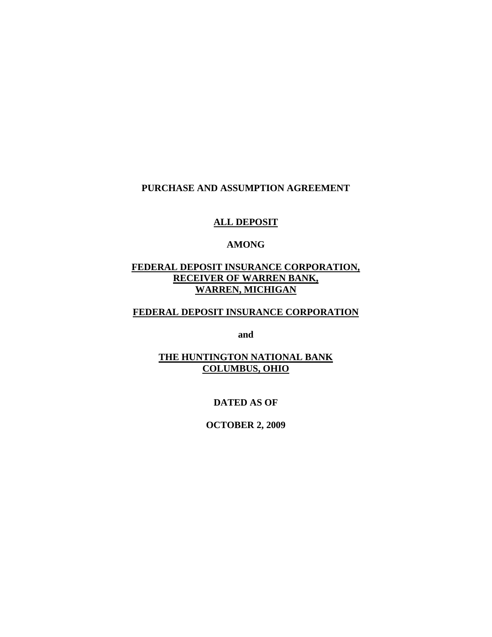#### **PURCHASE AND ASSUMPTION AGREEMENT**

### **ALL DEPOSIT**

#### **AMONG**

#### **FEDERAL DEPOSIT INSURANCE CORPORATION, RECEIVER OF WARREN BANK, WARREN, MICHIGAN**

#### **FEDERAL DEPOSIT INSURANCE CORPORATION**

**and** 

### **THE HUNTINGTON NATIONAL BANK COLUMBUS, OHIO**

**DATED AS OF** 

**OCTOBER 2, 2009**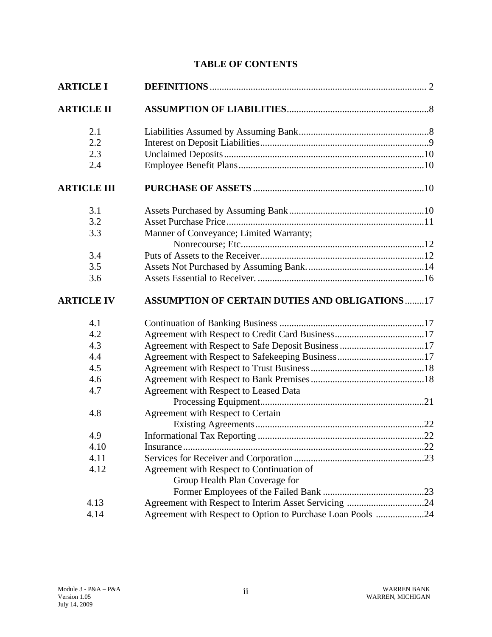# **TABLE OF CONTENTS**

| <b>ARTICLE I</b>   |                                                            |  |
|--------------------|------------------------------------------------------------|--|
| <b>ARTICLE II</b>  |                                                            |  |
| 2.1                |                                                            |  |
| 2.2                |                                                            |  |
| 2.3                |                                                            |  |
| 2.4                |                                                            |  |
| <b>ARTICLE III</b> |                                                            |  |
| 3.1                |                                                            |  |
| 3.2                |                                                            |  |
| 3.3                | Manner of Conveyance; Limited Warranty;                    |  |
|                    |                                                            |  |
| 3.4                |                                                            |  |
| 3.5                |                                                            |  |
| 3.6                |                                                            |  |
| <b>ARTICLE IV</b>  | <b>ASSUMPTION OF CERTAIN DUTIES AND OBLIGATIONS 17</b>     |  |
| 4.1                |                                                            |  |
| 4.2                |                                                            |  |
| 4.3                |                                                            |  |
| 4.4                |                                                            |  |
| 4.5                |                                                            |  |
| 4.6                |                                                            |  |
| 4.7                | Agreement with Respect to Leased Data                      |  |
|                    |                                                            |  |
| 4.8                | Agreement with Respect to Certain                          |  |
|                    |                                                            |  |
| 4.9                |                                                            |  |
| 4.10               |                                                            |  |
| 4.11               |                                                            |  |
| 4.12               | Agreement with Respect to Continuation of                  |  |
|                    | Group Health Plan Coverage for                             |  |
|                    |                                                            |  |
| 4.13               | Agreement with Respect to Interim Asset Servicing 24       |  |
| 4.14               | Agreement with Respect to Option to Purchase Loan Pools 24 |  |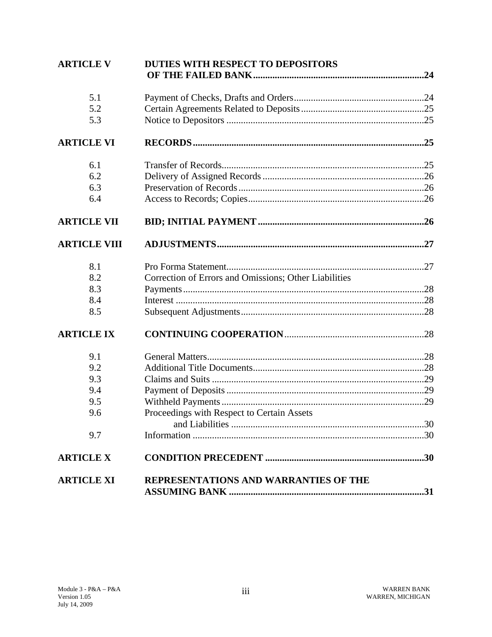| <b>ARTICLE V</b>    | <b>DUTIES WITH RESPECT TO DEPOSITORS</b>              |  |
|---------------------|-------------------------------------------------------|--|
|                     |                                                       |  |
| 5.1                 |                                                       |  |
| 5.2                 |                                                       |  |
| 5.3                 |                                                       |  |
| <b>ARTICLE VI</b>   |                                                       |  |
| 6.1                 |                                                       |  |
| 6.2                 |                                                       |  |
| 6.3                 |                                                       |  |
| 6.4                 |                                                       |  |
| <b>ARTICLE VII</b>  |                                                       |  |
| <b>ARTICLE VIII</b> |                                                       |  |
| 8.1                 |                                                       |  |
| 8.2                 | Correction of Errors and Omissions; Other Liabilities |  |
| 8.3                 |                                                       |  |
| 8.4                 |                                                       |  |
| 8.5                 |                                                       |  |
| <b>ARTICLE IX</b>   |                                                       |  |
| 9.1                 |                                                       |  |
| 9.2                 |                                                       |  |
| 9.3                 |                                                       |  |
| 9.4                 |                                                       |  |
| 9.5                 |                                                       |  |
| 9.6                 | Proceedings with Respect to Certain Assets            |  |
| 9.7                 |                                                       |  |
|                     |                                                       |  |
| <b>ARTICLE X</b>    |                                                       |  |
| <b>ARTICLE XI</b>   | REPRESENTATIONS AND WARRANTIES OF THE                 |  |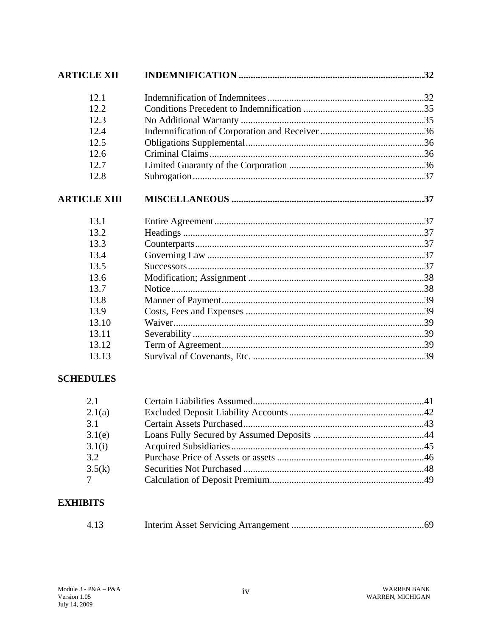| <b>ARTICLE XII</b>  |  |
|---------------------|--|
| 12.1                |  |
| 12.2                |  |
| 12.3                |  |
| 12.4                |  |
| 12.5                |  |
| 12.6                |  |
| 12.7                |  |
| 12.8                |  |
| <b>ARTICLE XIII</b> |  |
| 13.1                |  |
| 13.2                |  |
| 13.3                |  |
| 13.4                |  |
| 13.5                |  |
| 13.6                |  |
| 13.7                |  |
| 13.8                |  |
| 13.9                |  |
| 13.10               |  |
| 13.11               |  |
| 13.12               |  |
| 13.13               |  |
| <b>SCHEDULES</b>    |  |

| 2.1             |  |
|-----------------|--|
| 2.1(a)          |  |
| 3.1             |  |
| 3.1(e)          |  |
| 3.1(i)          |  |
| 3.2             |  |
| 3.5(k)          |  |
| $7\overline{ }$ |  |
|                 |  |

## **EXHIBITS**

| 4.13 |  |  |
|------|--|--|
|------|--|--|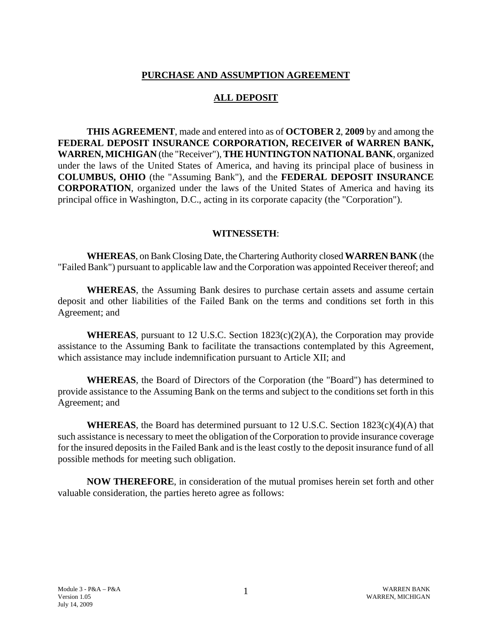#### **PURCHASE AND ASSUMPTION AGREEMENT**

### **ALL DEPOSIT**

**THIS AGREEMENT**, made and entered into as of **OCTOBER 2**, **2009** by and among the **FEDERAL DEPOSIT INSURANCE CORPORATION, RECEIVER of WARREN BANK, WARREN, MICHIGAN** (the "Receiver"), **THE HUNTINGTON NATIONAL BANK**, organized under the laws of the United States of America, and having its principal place of business in **COLUMBUS, OHIO** (the "Assuming Bank"), and the **FEDERAL DEPOSIT INSURANCE CORPORATION**, organized under the laws of the United States of America and having its principal office in Washington, D.C., acting in its corporate capacity (the "Corporation").

#### **WITNESSETH**:

**WHEREAS**, on Bank Closing Date, the Chartering Authority closed **WARREN BANK** (the "Failed Bank") pursuant to applicable law and the Corporation was appointed Receiver thereof; and

**WHEREAS**, the Assuming Bank desires to purchase certain assets and assume certain deposit and other liabilities of the Failed Bank on the terms and conditions set forth in this Agreement; and

**WHEREAS**, pursuant to 12 U.S.C. Section 1823(c)(2)(A), the Corporation may provide assistance to the Assuming Bank to facilitate the transactions contemplated by this Agreement, which assistance may include indemnification pursuant to Article XII; and

**WHEREAS**, the Board of Directors of the Corporation (the "Board") has determined to provide assistance to the Assuming Bank on the terms and subject to the conditions set forth in this Agreement; and

**WHEREAS**, the Board has determined pursuant to 12 U.S.C. Section 1823(c)(4)(A) that such assistance is necessary to meet the obligation of the Corporation to provide insurance coverage for the insured deposits in the Failed Bank and is the least costly to the deposit insurance fund of all possible methods for meeting such obligation.

**NOW THEREFORE**, in consideration of the mutual promises herein set forth and other valuable consideration, the parties hereto agree as follows: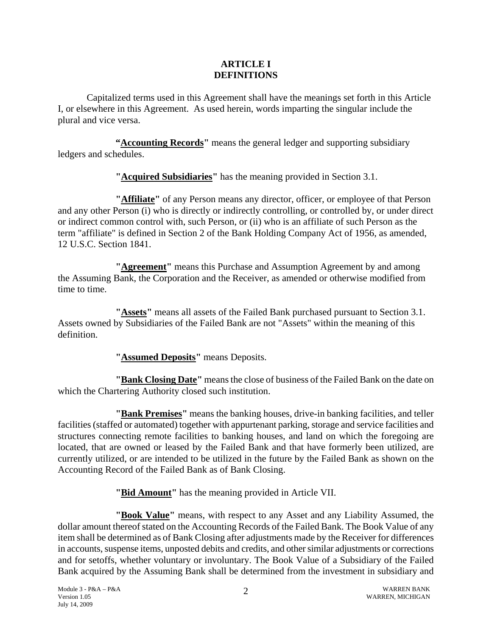### **ARTICLE I DEFINITIONS**

<span id="page-5-0"></span>Capitalized terms used in this Agreement shall have the meanings set forth in this Article I, or elsewhere in this Agreement. As used herein, words imparting the singular include the plural and vice versa.

**"Accounting Records"** means the general ledger and supporting subsidiary ledgers and schedules.

**"Acquired Subsidiaries"** has the meaning provided in Section 3.1.

**"Affiliate"** of any Person means any director, officer, or employee of that Person and any other Person (i) who is directly or indirectly controlling, or controlled by, or under direct or indirect common control with, such Person, or (ii) who is an affiliate of such Person as the term "affiliate" is defined in Section 2 of the Bank Holding Company Act of 1956, as amended, 12 U.S.C. Section 1841.

**"Agreement"** means this Purchase and Assumption Agreement by and among the Assuming Bank, the Corporation and the Receiver, as amended or otherwise modified from time to time.

**"Assets"** means all assets of the Failed Bank purchased pursuant to Section 3.1. Assets owned by Subsidiaries of the Failed Bank are not "Assets" within the meaning of this definition.

**"Assumed Deposits"** means Deposits.

**"Bank Closing Date"** means the close of business of the Failed Bank on the date on which the Chartering Authority closed such institution.

**"Bank Premises"** means the banking houses, drive-in banking facilities, and teller facilities (staffed or automated) together with appurtenant parking, storage and service facilities and structures connecting remote facilities to banking houses, and land on which the foregoing are located, that are owned or leased by the Failed Bank and that have formerly been utilized, are currently utilized, or are intended to be utilized in the future by the Failed Bank as shown on the Accounting Record of the Failed Bank as of Bank Closing.

**"Bid Amount"** has the meaning provided in Article VII.

**"Book Value"** means, with respect to any Asset and any Liability Assumed, the dollar amount thereof stated on the Accounting Records of the Failed Bank. The Book Value of any item shall be determined as of Bank Closing after adjustments made by the Receiver for differences in accounts, suspense items, unposted debits and credits, and other similar adjustments or corrections and for setoffs, whether voluntary or involuntary. The Book Value of a Subsidiary of the Failed Bank acquired by the Assuming Bank shall be determined from the investment in subsidiary and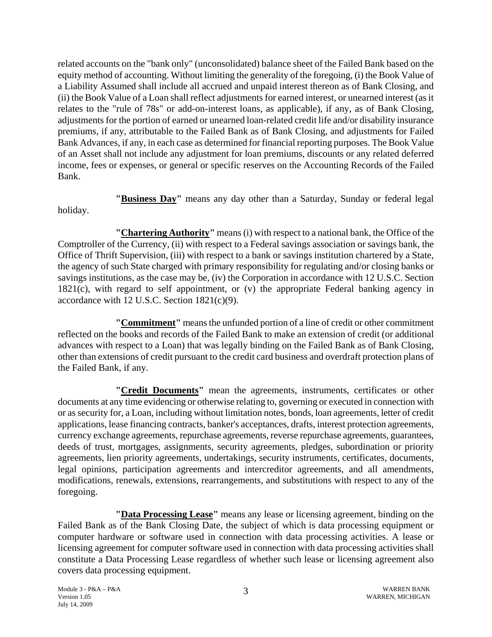related accounts on the "bank only" (unconsolidated) balance sheet of the Failed Bank based on the equity method of accounting. Without limiting the generality of the foregoing, (i) the Book Value of a Liability Assumed shall include all accrued and unpaid interest thereon as of Bank Closing, and (ii) the Book Value of a Loan shall reflect adjustments for earned interest, or unearned interest (as it relates to the "rule of 78s" or add-on-interest loans, as applicable), if any, as of Bank Closing, adjustments for the portion of earned or unearned loan-related credit life and/or disability insurance premiums, if any, attributable to the Failed Bank as of Bank Closing, and adjustments for Failed Bank Advances, if any, in each case as determined for financial reporting purposes. The Book Value of an Asset shall not include any adjustment for loan premiums, discounts or any related deferred income, fees or expenses, or general or specific reserves on the Accounting Records of the Failed Bank.

**"Business Day"** means any day other than a Saturday, Sunday or federal legal holiday.

**"Chartering Authority"** means (i) with respect to a national bank, the Office of the Comptroller of the Currency, (ii) with respect to a Federal savings association or savings bank, the Office of Thrift Supervision, (iii) with respect to a bank or savings institution chartered by a State, the agency of such State charged with primary responsibility for regulating and/or closing banks or savings institutions, as the case may be, (iv) the Corporation in accordance with 12 U.S.C. Section 1821(c), with regard to self appointment, or (v) the appropriate Federal banking agency in accordance with 12 U.S.C. Section 1821(c)(9).

**"Commitment"** means the unfunded portion of a line of credit or other commitment reflected on the books and records of the Failed Bank to make an extension of credit (or additional advances with respect to a Loan) that was legally binding on the Failed Bank as of Bank Closing, other than extensions of credit pursuant to the credit card business and overdraft protection plans of the Failed Bank, if any.

**"Credit Documents"** mean the agreements, instruments, certificates or other documents at any time evidencing or otherwise relating to, governing or executed in connection with or as security for, a Loan, including without limitation notes, bonds, loan agreements, letter of credit applications, lease financing contracts, banker's acceptances, drafts, interest protection agreements, currency exchange agreements, repurchase agreements, reverse repurchase agreements, guarantees, deeds of trust, mortgages, assignments, security agreements, pledges, subordination or priority agreements, lien priority agreements, undertakings, security instruments, certificates, documents, legal opinions, participation agreements and intercreditor agreements, and all amendments, modifications, renewals, extensions, rearrangements, and substitutions with respect to any of the foregoing.

**"Data Processing Lease"** means any lease or licensing agreement, binding on the Failed Bank as of the Bank Closing Date, the subject of which is data processing equipment or computer hardware or software used in connection with data processing activities. A lease or licensing agreement for computer software used in connection with data processing activities shall constitute a Data Processing Lease regardless of whether such lease or licensing agreement also covers data processing equipment.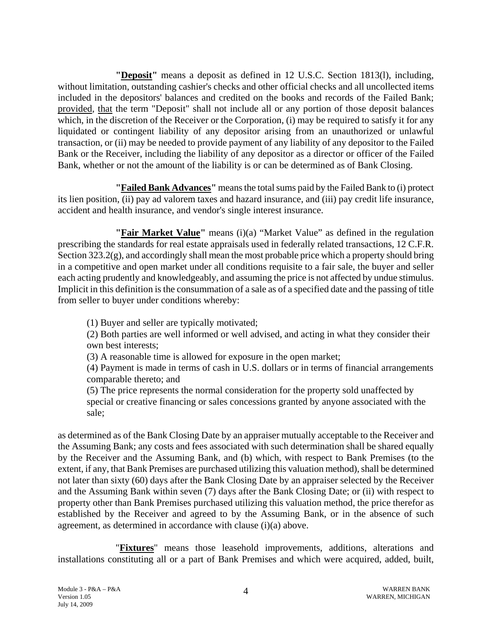**"Deposit"** means a deposit as defined in 12 U.S.C. Section 1813(l), including, without limitation, outstanding cashier's checks and other official checks and all uncollected items included in the depositors' balances and credited on the books and records of the Failed Bank; provided, that the term "Deposit" shall not include all or any portion of those deposit balances which, in the discretion of the Receiver or the Corporation, (i) may be required to satisfy it for any liquidated or contingent liability of any depositor arising from an unauthorized or unlawful transaction, or (ii) may be needed to provide payment of any liability of any depositor to the Failed Bank or the Receiver, including the liability of any depositor as a director or officer of the Failed Bank, whether or not the amount of the liability is or can be determined as of Bank Closing.

**"Failed Bank Advances"** means the total sums paid by the Failed Bank to (i) protect its lien position, (ii) pay ad valorem taxes and hazard insurance, and (iii) pay credit life insurance, accident and health insurance, and vendor's single interest insurance.

**"Fair Market Value"** means (i)(a) "Market Value" as defined in the regulation prescribing the standards for real estate appraisals used in federally related transactions, 12 C.F.R. Section 323.2(g), and accordingly shall mean the most probable price which a property should bring in a competitive and open market under all conditions requisite to a fair sale, the buyer and seller each acting prudently and knowledgeably, and assuming the price is not affected by undue stimulus. Implicit in this definition is the consummation of a sale as of a specified date and the passing of title from seller to buyer under conditions whereby:

(1) Buyer and seller are typically motivated;

(2) Both parties are well informed or well advised, and acting in what they consider their own best interests;

(3) A reasonable time is allowed for exposure in the open market;

(4) Payment is made in terms of cash in U.S. dollars or in terms of financial arrangements comparable thereto; and

(5) The price represents the normal consideration for the property sold unaffected by special or creative financing or sales concessions granted by anyone associated with the sale;

as determined as of the Bank Closing Date by an appraiser mutually acceptable to the Receiver and the Assuming Bank; any costs and fees associated with such determination shall be shared equally by the Receiver and the Assuming Bank, and (b) which, with respect to Bank Premises (to the extent, if any, that Bank Premises are purchased utilizing this valuation method), shall be determined not later than sixty (60) days after the Bank Closing Date by an appraiser selected by the Receiver and the Assuming Bank within seven (7) days after the Bank Closing Date; or (ii) with respect to property other than Bank Premises purchased utilizing this valuation method, the price therefor as established by the Receiver and agreed to by the Assuming Bank, or in the absence of such agreement, as determined in accordance with clause (i)(a) above.

"**Fixtures**" means those leasehold improvements, additions, alterations and installations constituting all or a part of Bank Premises and which were acquired, added, built,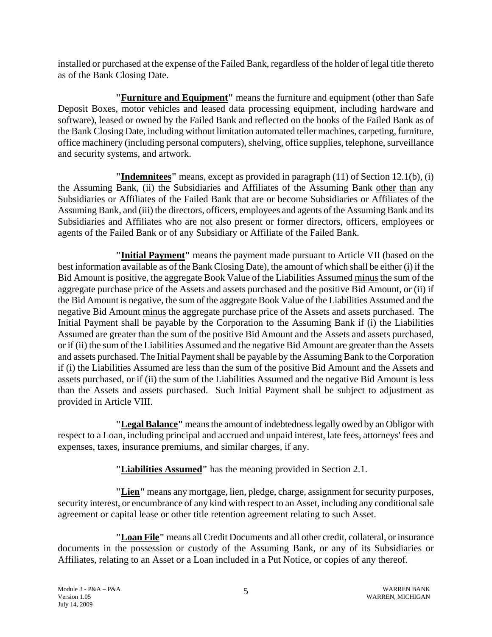installed or purchased at the expense of the Failed Bank, regardless of the holder of legal title thereto as of the Bank Closing Date.

**"Furniture and Equipment"** means the furniture and equipment (other than Safe Deposit Boxes, motor vehicles and leased data processing equipment, including hardware and software), leased or owned by the Failed Bank and reflected on the books of the Failed Bank as of the Bank Closing Date, including without limitation automated teller machines, carpeting, furniture, office machinery (including personal computers), shelving, office supplies, telephone, surveillance and security systems, and artwork.

**"Indemnitees"** means, except as provided in paragraph (11) of Section 12.1(b), (i) the Assuming Bank, (ii) the Subsidiaries and Affiliates of the Assuming Bank other than any Subsidiaries or Affiliates of the Failed Bank that are or become Subsidiaries or Affiliates of the Assuming Bank, and (iii) the directors, officers, employees and agents of the Assuming Bank and its Subsidiaries and Affiliates who are not also present or former directors, officers, employees or agents of the Failed Bank or of any Subsidiary or Affiliate of the Failed Bank.

**"Initial Payment"** means the payment made pursuant to Article VII (based on the best information available as of the Bank Closing Date), the amount of which shall be either (i) if the Bid Amount is positive, the aggregate Book Value of the Liabilities Assumed minus the sum of the aggregate purchase price of the Assets and assets purchased and the positive Bid Amount, or (ii) if the Bid Amount is negative, the sum of the aggregate Book Value of the Liabilities Assumed and the negative Bid Amount minus the aggregate purchase price of the Assets and assets purchased. The Initial Payment shall be payable by the Corporation to the Assuming Bank if (i) the Liabilities Assumed are greater than the sum of the positive Bid Amount and the Assets and assets purchased, or if (ii) the sum of the Liabilities Assumed and the negative Bid Amount are greater than the Assets and assets purchased. The Initial Payment shall be payable by the Assuming Bank to the Corporation if (i) the Liabilities Assumed are less than the sum of the positive Bid Amount and the Assets and assets purchased, or if (ii) the sum of the Liabilities Assumed and the negative Bid Amount is less than the Assets and assets purchased. Such Initial Payment shall be subject to adjustment as provided in Article VIII.

**"Legal Balance"** means the amount of indebtedness legally owed by an Obligor with respect to a Loan, including principal and accrued and unpaid interest, late fees, attorneys' fees and expenses, taxes, insurance premiums, and similar charges, if any.

**"Liabilities Assumed"** has the meaning provided in Section 2.1.

**"Lien"** means any mortgage, lien, pledge, charge, assignment for security purposes, security interest, or encumbrance of any kind with respect to an Asset, including any conditional sale agreement or capital lease or other title retention agreement relating to such Asset.

**Affiliates, relating to an Asset or a Loan included in a Put Notice, or copies of any thereof.**<br>
Module 3 - P&A – P&A<br>
Version 1.05 WARREN, MICHIGAN **"Loan File"** means all Credit Documents and all other credit, collateral, or insurance documents in the possession or custody of the Assuming Bank, or any of its Subsidiaries or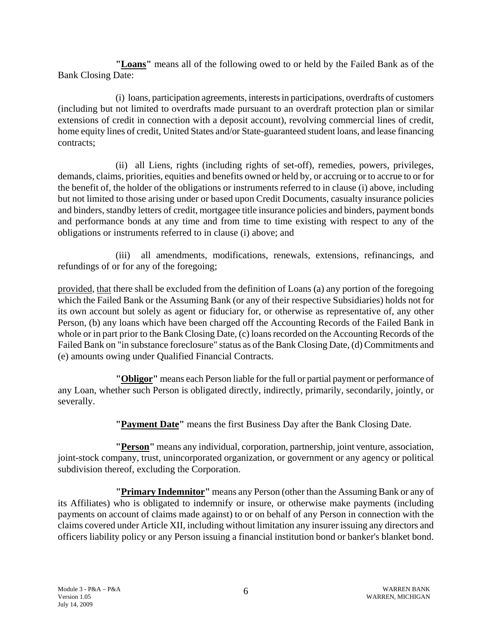**"Loans"** means all of the following owed to or held by the Failed Bank as of the Bank Closing Date:

(i) loans, participation agreements, interests in participations, overdrafts of customers (including but not limited to overdrafts made pursuant to an overdraft protection plan or similar extensions of credit in connection with a deposit account), revolving commercial lines of credit, home equity lines of credit, United States and/or State-guaranteed student loans, and lease financing contracts;

(ii) all Liens, rights (including rights of set-off), remedies, powers, privileges, demands, claims, priorities, equities and benefits owned or held by, or accruing or to accrue to or for the benefit of, the holder of the obligations or instruments referred to in clause (i) above, including but not limited to those arising under or based upon Credit Documents, casualty insurance policies and binders, standby letters of credit, mortgagee title insurance policies and binders, payment bonds and performance bonds at any time and from time to time existing with respect to any of the obligations or instruments referred to in clause (i) above; and

(iii) all amendments, modifications, renewals, extensions, refinancings, and refundings of or for any of the foregoing;

provided, that there shall be excluded from the definition of Loans (a) any portion of the foregoing which the Failed Bank or the Assuming Bank (or any of their respective Subsidiaries) holds not for its own account but solely as agent or fiduciary for, or otherwise as representative of, any other Person, (b) any loans which have been charged off the Accounting Records of the Failed Bank in whole or in part prior to the Bank Closing Date, (c) loans recorded on the Accounting Records of the Failed Bank on "in substance foreclosure" status as of the Bank Closing Date, (d) Commitments and (e) amounts owing under Qualified Financial Contracts.

**"Obligor"** means each Person liable for the full or partial payment or performance of any Loan, whether such Person is obligated directly, indirectly, primarily, secondarily, jointly, or severally.

**"Payment Date"** means the first Business Day after the Bank Closing Date.

**"Person"** means any individual, corporation, partnership, joint venture, association, joint-stock company, trust, unincorporated organization, or government or any agency or political subdivision thereof, excluding the Corporation.

**"Primary Indemnitor"** means any Person (other than the Assuming Bank or any of its Affiliates) who is obligated to indemnify or insure, or otherwise make payments (including payments on account of claims made against) to or on behalf of any Person in connection with the claims covered under Article XII, including without limitation any insurer issuing any directors and officers liability policy or any Person issuing a financial institution bond or banker's blanket bond.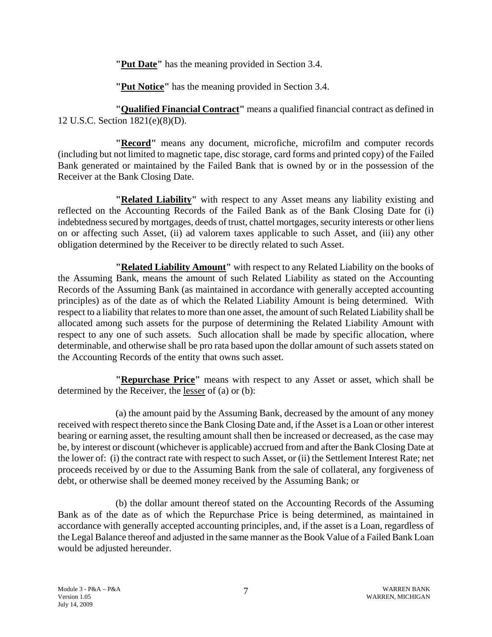**"Put Date"** has the meaning provided in Section 3.4.

**"Put Notice"** has the meaning provided in Section 3.4.

<span id="page-10-0"></span>**"Qualified Financial Contract"** means a qualified financial contract as defined in 12 U.S.C. Section 1821(e)(8)(D).

**"Record"** means any document, microfiche, microfilm and computer records (including but not limited to magnetic tape, disc storage, card forms and printed copy) of the Failed Bank generated or maintained by the Failed Bank that is owned by or in the possession of the Receiver at the Bank Closing Date.

**"Related Liability"** with respect to any Asset means any liability existing and reflected on the Accounting Records of the Failed Bank as of the Bank Closing Date for (i) indebtedness secured by mortgages, deeds of trust, chattel mortgages, security interests or other liens on or affecting such Asset, (ii) ad valorem taxes applicable to such Asset, and (iii) any other obligation determined by the Receiver to be directly related to such Asset.

**"Related Liability Amount"** with respect to any Related Liability on the books of the Assuming Bank, means the amount of such Related Liability as stated on the Accounting Records of the Assuming Bank (as maintained in accordance with generally accepted accounting principles) as of the date as of which the Related Liability Amount is being determined. With respect to a liability that relates to more than one asset, the amount of such Related Liability shall be allocated among such assets for the purpose of determining the Related Liability Amount with respect to any one of such assets. Such allocation shall be made by specific allocation, where determinable, and otherwise shall be pro rata based upon the dollar amount of such assets stated on the Accounting Records of the entity that owns such asset.

**"Repurchase Price"** means with respect to any Asset or asset, which shall be determined by the Receiver, the lesser of (a) or (b):

(a) the amount paid by the Assuming Bank, decreased by the amount of any money received with respect thereto since the Bank Closing Date and, if the Asset is a Loan or other interest bearing or earning asset, the resulting amount shall then be increased or decreased, as the case may be, by interest or discount (whichever is applicable) accrued from and after the Bank Closing Date at the lower of: (i) the contract rate with respect to such Asset, or (ii) the Settlement Interest Rate; net proceeds received by or due to the Assuming Bank from the sale of collateral, any forgiveness of debt, or otherwise shall be deemed money received by the Assuming Bank; or

(b) the dollar amount thereof stated on the Accounting Records of the Assuming Bank as of the date as of which the Repurchase Price is being determined, as maintained in accordance with generally accepted accounting principles, and, if the asset is a Loan, regardless of the Legal Balance thereof and adjusted in the same manner as the Book Value of a Failed Bank Loan would be adjusted hereunder.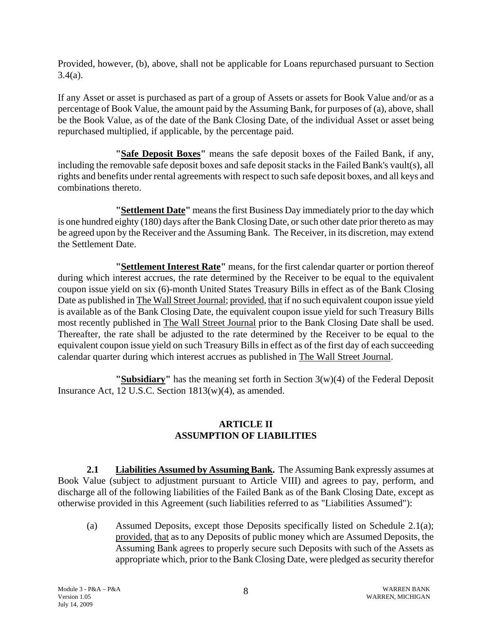<span id="page-11-0"></span>Provided, however, (b), above, shall not be applicable for Loans repurchased pursuant to Section  $3.4(a)$ .

If any Asset or asset is purchased as part of a group of Assets or assets for Book Value and/or as a percentage of Book Value, the amount paid by the Assuming Bank, for purposes of (a), above, shall be the Book Value, as of the date of the Bank Closing Date, of the individual Asset or asset being repurchased multiplied, if applicable, by the percentage paid.

**"Safe Deposit Boxes"** means the safe deposit boxes of the Failed Bank, if any, including the removable safe deposit boxes and safe deposit stacks in the Failed Bank's vault(s), all rights and benefits under rental agreements with respect to such safe deposit boxes, and all keys and combinations thereto.

**"Settlement Date"** means the first Business Day immediately prior to the day which is one hundred eighty (180) days after the Bank Closing Date, or such other date prior thereto as may be agreed upon by the Receiver and the Assuming Bank. The Receiver, in its discretion, may extend the Settlement Date.

**"Settlement Interest Rate"** means, for the first calendar quarter or portion thereof during which interest accrues, the rate determined by the Receiver to be equal to the equivalent coupon issue yield on six (6)-month United States Treasury Bills in effect as of the Bank Closing Date as published in The Wall Street Journal; provided, that if no such equivalent coupon issue yield is available as of the Bank Closing Date, the equivalent coupon issue yield for such Treasury Bills most recently published in The Wall Street Journal prior to the Bank Closing Date shall be used. Thereafter, the rate shall be adjusted to the rate determined by the Receiver to be equal to the equivalent coupon issue yield on such Treasury Bills in effect as of the first day of each succeeding calendar quarter during which interest accrues as published in The Wall Street Journal.

**"Subsidiary"** has the meaning set forth in Section 3(w)(4) of the Federal Deposit Insurance Act, 12 U.S.C. Section 1813(w)(4), as amended.

## **ARTICLE II ASSUMPTION OF LIABILITIES**

**2.1 Liabilities Assumed by Assuming Bank.** The Assuming Bank expressly assumes at Book Value (subject to adjustment pursuant to Article VIII) and agrees to pay, perform, and discharge all of the following liabilities of the Failed Bank as of the Bank Closing Date, except as otherwise provided in this Agreement (such liabilities referred to as "Liabilities Assumed"):

(a) Assumed Deposits, except those Deposits specifically listed on Schedule 2.1(a); provided, that as to any Deposits of public money which are Assumed Deposits, the Assuming Bank agrees to properly secure such Deposits with such of the Assets as appropriate which, prior to the Bank Closing Date, were pledged as security therefor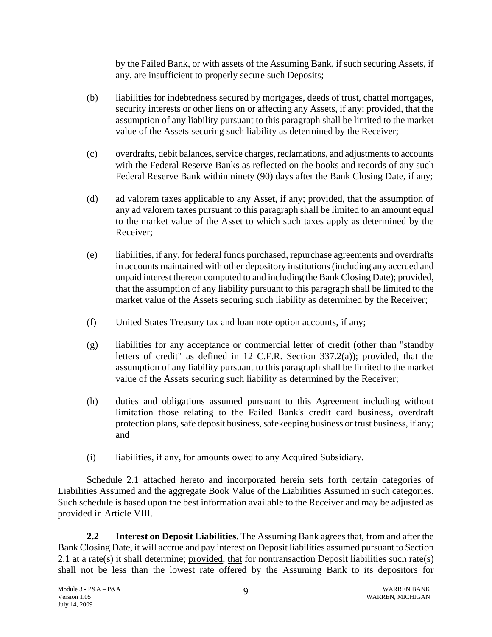by the Failed Bank, or with assets of the Assuming Bank, if such securing Assets, if any, are insufficient to properly secure such Deposits;

- <span id="page-12-0"></span>(b) liabilities for indebtedness secured by mortgages, deeds of trust, chattel mortgages, security interests or other liens on or affecting any Assets, if any; provided, that the assumption of any liability pursuant to this paragraph shall be limited to the market value of the Assets securing such liability as determined by the Receiver;
- (c) overdrafts, debit balances, service charges, reclamations, and adjustments to accounts with the Federal Reserve Banks as reflected on the books and records of any such Federal Reserve Bank within ninety (90) days after the Bank Closing Date, if any;
- (d) ad valorem taxes applicable to any Asset, if any; provided, that the assumption of any ad valorem taxes pursuant to this paragraph shall be limited to an amount equal to the market value of the Asset to which such taxes apply as determined by the Receiver;
- (e) liabilities, if any, for federal funds purchased, repurchase agreements and overdrafts in accounts maintained with other depository institutions (including any accrued and unpaid interest thereon computed to and including the Bank Closing Date); provided, that the assumption of any liability pursuant to this paragraph shall be limited to the market value of the Assets securing such liability as determined by the Receiver;
- (f) United States Treasury tax and loan note option accounts, if any;
- (g) liabilities for any acceptance or commercial letter of credit (other than "standby letters of credit" as defined in 12 C.F.R. Section 337.2(a)); provided, that the assumption of any liability pursuant to this paragraph shall be limited to the market value of the Assets securing such liability as determined by the Receiver;
- (h) duties and obligations assumed pursuant to this Agreement including without limitation those relating to the Failed Bank's credit card business, overdraft protection plans, safe deposit business, safekeeping business or trust business, if any; and
- (i) liabilities, if any, for amounts owed to any Acquired Subsidiary.

Schedule 2.1 attached hereto and incorporated herein sets forth certain categories of Liabilities Assumed and the aggregate Book Value of the Liabilities Assumed in such categories. Such schedule is based upon the best information available to the Receiver and may be adjusted as provided in Article VIII.

**2.2 Interest on Deposit Liabilities.** The Assuming Bank agrees that, from and after the Bank Closing Date, it will accrue and pay interest on Deposit liabilities assumed pursuant to Section 2.1 at a rate(s) it shall determine; provided, that for nontransaction Deposit liabilities such rate(s) shall not be less than the lowest rate offered by the Assuming Bank to its depositors for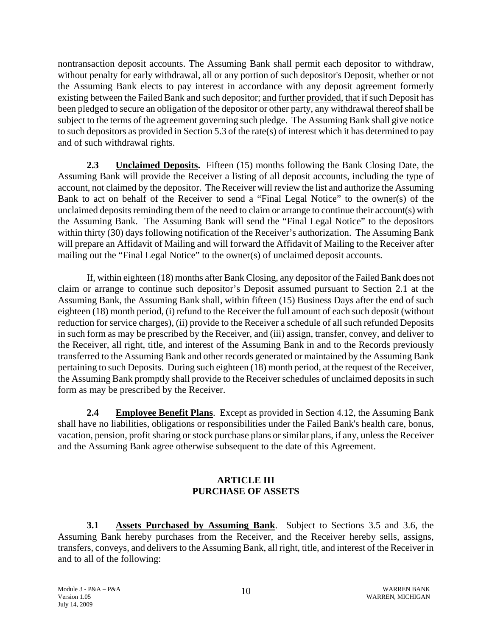<span id="page-13-0"></span>nontransaction deposit accounts. The Assuming Bank shall permit each depositor to withdraw, without penalty for early withdrawal, all or any portion of such depositor's Deposit, whether or not the Assuming Bank elects to pay interest in accordance with any deposit agreement formerly existing between the Failed Bank and such depositor; and further provided, that if such Deposit has been pledged to secure an obligation of the depositor or other party, any withdrawal thereof shall be subject to the terms of the agreement governing such pledge. The Assuming Bank shall give notice to such depositors as provided in Section 5.3 of the rate(s) of interest which it has determined to pay and of such withdrawal rights.

**2.3 Unclaimed Deposits.** Fifteen (15) months following the Bank Closing Date, the Assuming Bank will provide the Receiver a listing of all deposit accounts, including the type of account, not claimed by the depositor. The Receiver will review the list and authorize the Assuming Bank to act on behalf of the Receiver to send a "Final Legal Notice" to the owner(s) of the unclaimed deposits reminding them of the need to claim or arrange to continue their account(s) with the Assuming Bank. The Assuming Bank will send the "Final Legal Notice" to the depositors within thirty (30) days following notification of the Receiver's authorization. The Assuming Bank will prepare an Affidavit of Mailing and will forward the Affidavit of Mailing to the Receiver after mailing out the "Final Legal Notice" to the owner(s) of unclaimed deposit accounts.

If, within eighteen (18) months after Bank Closing, any depositor of the Failed Bank does not claim or arrange to continue such depositor's Deposit assumed pursuant to Section 2.1 at the Assuming Bank, the Assuming Bank shall, within fifteen (15) Business Days after the end of such eighteen (18) month period, (i) refund to the Receiver the full amount of each such deposit (without reduction for service charges), (ii) provide to the Receiver a schedule of all such refunded Deposits in such form as may be prescribed by the Receiver, and (iii) assign, transfer, convey, and deliver to the Receiver, all right, title, and interest of the Assuming Bank in and to the Records previously transferred to the Assuming Bank and other records generated or maintained by the Assuming Bank pertaining to such Deposits. During such eighteen (18) month period, at the request of the Receiver, the Assuming Bank promptly shall provide to the Receiver schedules of unclaimed deposits in such form as may be prescribed by the Receiver.

**2.4 Employee Benefit Plans**. Except as provided in Section 4.12, the Assuming Bank shall have no liabilities, obligations or responsibilities under the Failed Bank's health care, bonus, vacation, pension, profit sharing or stock purchase plans or similar plans, if any, unless the Receiver and the Assuming Bank agree otherwise subsequent to the date of this Agreement.

## **ARTICLE III PURCHASE OF ASSETS**

**3.1 Assets Purchased by Assuming Bank**. Subject to Sections 3.5 and 3.6, the Assuming Bank hereby purchases from the Receiver, and the Receiver hereby sells, assigns, transfers, conveys, and delivers to the Assuming Bank, all right, title, and interest of the Receiver in and to all of the following: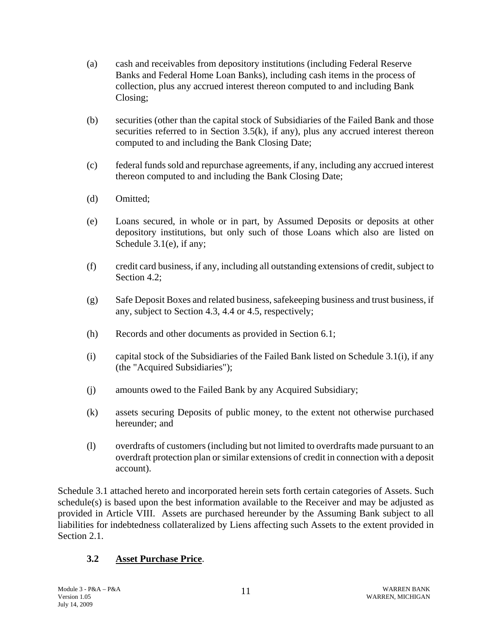- <span id="page-14-0"></span>(a) cash and receivables from depository institutions (including Federal Reserve Banks and Federal Home Loan Banks), including cash items in the process of collection, plus any accrued interest thereon computed to and including Bank Closing;
- (b) securities (other than the capital stock of Subsidiaries of the Failed Bank and those securities referred to in Section  $3.5(k)$ , if any), plus any accrued interest thereon computed to and including the Bank Closing Date;
- (c) federal funds sold and repurchase agreements, if any, including any accrued interest thereon computed to and including the Bank Closing Date;
- (d) Omitted;
- (e) Loans secured, in whole or in part, by Assumed Deposits or deposits at other depository institutions, but only such of those Loans which also are listed on Schedule 3.1(e), if any;
- (f) credit card business, if any, including all outstanding extensions of credit, subject to Section 4.2;
- (g) Safe Deposit Boxes and related business, safekeeping business and trust business, if any, subject to Section 4.3, 4.4 or 4.5, respectively;
- (h) Records and other documents as provided in Section 6.1;
- (i) capital stock of the Subsidiaries of the Failed Bank listed on Schedule 3.1(i), if any (the "Acquired Subsidiaries");
- (j) amounts owed to the Failed Bank by any Acquired Subsidiary;
- (k) assets securing Deposits of public money, to the extent not otherwise purchased hereunder; and
- (l) overdrafts of customers (including but not limited to overdrafts made pursuant to an overdraft protection plan or similar extensions of credit in connection with a deposit account).

Schedule 3.1 attached hereto and incorporated herein sets forth certain categories of Assets. Such schedule(s) is based upon the best information available to the Receiver and may be adjusted as provided in Article VIII. Assets are purchased hereunder by the Assuming Bank subject to all liabilities for indebtedness collateralized by Liens affecting such Assets to the extent provided in Section 2.1.

### **3.2 Asset Purchase Price**.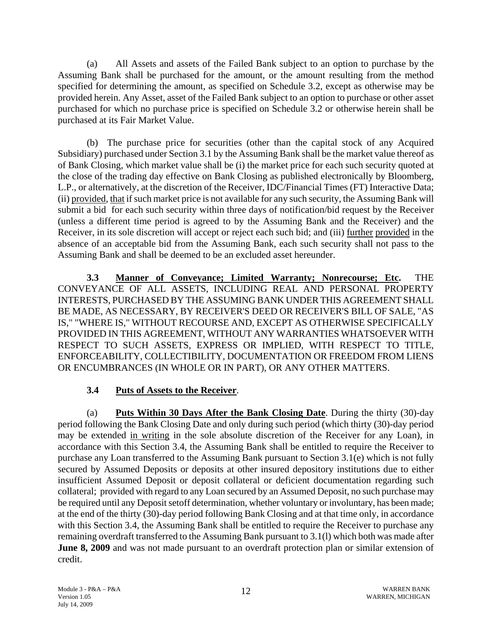<span id="page-15-0"></span>(a) All Assets and assets of the Failed Bank subject to an option to purchase by the Assuming Bank shall be purchased for the amount, or the amount resulting from the method specified for determining the amount, as specified on Schedule 3.2, except as otherwise may be provided herein. Any Asset, asset of the Failed Bank subject to an option to purchase or other asset purchased for which no purchase price is specified on Schedule 3.2 or otherwise herein shall be purchased at its Fair Market Value.

(b) The purchase price for securities (other than the capital stock of any Acquired Subsidiary) purchased under Section 3.1 by the Assuming Bank shall be the market value thereof as of Bank Closing, which market value shall be (i) the market price for each such security quoted at the close of the trading day effective on Bank Closing as published electronically by Bloomberg, L.P., or alternatively, at the discretion of the Receiver, IDC/Financial Times (FT) Interactive Data; (ii) provided, that if such market price is not available for any such security, the Assuming Bank will submit a bid for each such security within three days of notification/bid request by the Receiver (unless a different time period is agreed to by the Assuming Bank and the Receiver) and the Receiver, in its sole discretion will accept or reject each such bid; and (iii) further provided in the absence of an acceptable bid from the Assuming Bank, each such security shall not pass to the Assuming Bank and shall be deemed to be an excluded asset hereunder.

**3.3 Manner of Conveyance; Limited Warranty; Nonrecourse; Etc.** THE CONVEYANCE OF ALL ASSETS, INCLUDING REAL AND PERSONAL PROPERTY INTERESTS, PURCHASED BY THE ASSUMING BANK UNDER THIS AGREEMENT SHALL BE MADE, AS NECESSARY, BY RECEIVER'S DEED OR RECEIVER'S BILL OF SALE, "AS IS," "WHERE IS," WITHOUT RECOURSE AND, EXCEPT AS OTHERWISE SPECIFICALLY PROVIDED IN THIS AGREEMENT, WITHOUT ANY WARRANTIES WHATSOEVER WITH RESPECT TO SUCH ASSETS, EXPRESS OR IMPLIED, WITH RESPECT TO TITLE, ENFORCEABILITY, COLLECTIBILITY, DOCUMENTATION OR FREEDOM FROM LIENS OR ENCUMBRANCES (IN WHOLE OR IN PART), OR ANY OTHER MATTERS.

## **3.4 Puts of Assets to the Receiver**.

(a) **Puts Within 30 Days After the Bank Closing Date**. During the thirty (30)-day period following the Bank Closing Date and only during such period (which thirty (30)-day period may be extended in writing in the sole absolute discretion of the Receiver for any Loan), in accordance with this Section 3.4, the Assuming Bank shall be entitled to require the Receiver to purchase any Loan transferred to the Assuming Bank pursuant to Section 3.1(e) which is not fully secured by Assumed Deposits or deposits at other insured depository institutions due to either insufficient Assumed Deposit or deposit collateral or deficient documentation regarding such collateral; provided with regard to any Loan secured by an Assumed Deposit, no such purchase may be required until any Deposit setoff determination, whether voluntary or involuntary, has been made; at the end of the thirty (30)-day period following Bank Closing and at that time only, in accordance with this Section 3.4, the Assuming Bank shall be entitled to require the Receiver to purchase any remaining overdraft transferred to the Assuming Bank pursuant to 3.1(l) which both was made after **June 8, 2009** and was not made pursuant to an overdraft protection plan or similar extension of credit.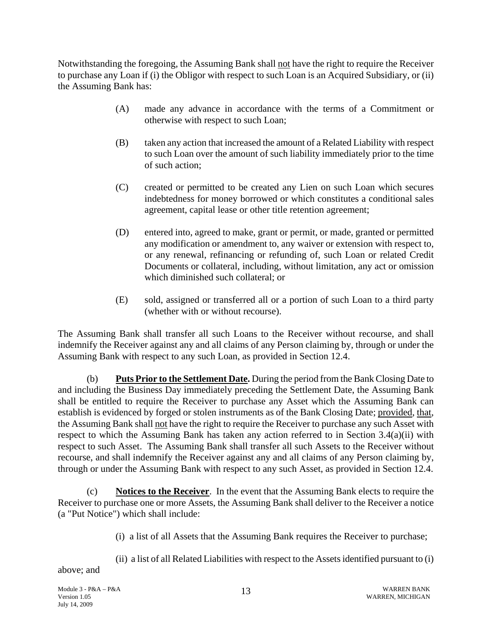Notwithstanding the foregoing, the Assuming Bank shall not have the right to require the Receiver to purchase any Loan if (i) the Obligor with respect to such Loan is an Acquired Subsidiary, or (ii) the Assuming Bank has:

- (A) made any advance in accordance with the terms of a Commitment or otherwise with respect to such Loan;
- (B) taken any action that increased the amount of a Related Liability with respect to such Loan over the amount of such liability immediately prior to the time of such action;
- (C) created or permitted to be created any Lien on such Loan which secures indebtedness for money borrowed or which constitutes a conditional sales agreement, capital lease or other title retention agreement;
- (D) entered into, agreed to make, grant or permit, or made, granted or permitted any modification or amendment to, any waiver or extension with respect to, or any renewal, refinancing or refunding of, such Loan or related Credit Documents or collateral, including, without limitation, any act or omission which diminished such collateral; or
- (E) sold, assigned or transferred all or a portion of such Loan to a third party (whether with or without recourse).

The Assuming Bank shall transfer all such Loans to the Receiver without recourse, and shall indemnify the Receiver against any and all claims of any Person claiming by, through or under the Assuming Bank with respect to any such Loan, as provided in Section 12.4.

(b) **Puts Prior to the Settlement Date.** During the period from the Bank Closing Date to and including the Business Day immediately preceding the Settlement Date, the Assuming Bank shall be entitled to require the Receiver to purchase any Asset which the Assuming Bank can establish is evidenced by forged or stolen instruments as of the Bank Closing Date; provided, that, the Assuming Bank shall not have the right to require the Receiver to purchase any such Asset with respect to which the Assuming Bank has taken any action referred to in Section 3.4(a)(ii) with respect to such Asset. The Assuming Bank shall transfer all such Assets to the Receiver without recourse, and shall indemnify the Receiver against any and all claims of any Person claiming by, through or under the Assuming Bank with respect to any such Asset, as provided in Section 12.4.

(c) **Notices to the Receiver**. In the event that the Assuming Bank elects to require the Receiver to purchase one or more Assets, the Assuming Bank shall deliver to the Receiver a notice (a "Put Notice") which shall include:

(i) a list of all Assets that the Assuming Bank requires the Receiver to purchase;

(ii) a list of all Related Liabilities with respect to the Assets identified pursuant to (i)

above; and

July 14, 2009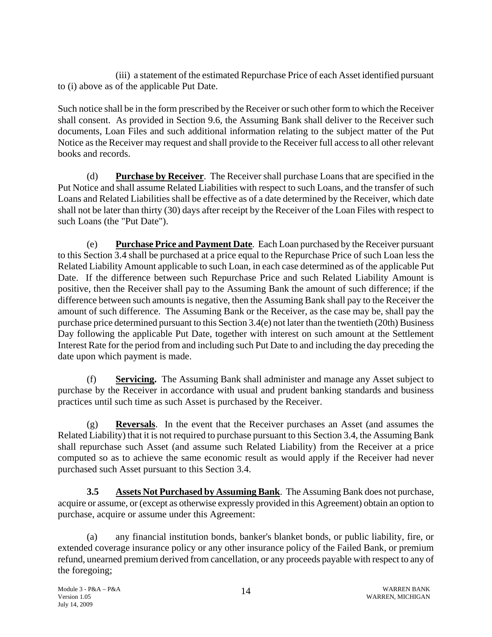<span id="page-17-0"></span>(iii) a statement of the estimated Repurchase Price of each Asset identified pursuant to (i) above as of the applicable Put Date.

Such notice shall be in the form prescribed by the Receiver or such other form to which the Receiver shall consent. As provided in Section 9.6, the Assuming Bank shall deliver to the Receiver such documents, Loan Files and such additional information relating to the subject matter of the Put Notice as the Receiver may request and shall provide to the Receiver full access to all other relevant books and records.

(d) **Purchase by Receiver**. The Receiver shall purchase Loans that are specified in the Put Notice and shall assume Related Liabilities with respect to such Loans, and the transfer of such Loans and Related Liabilities shall be effective as of a date determined by the Receiver, which date shall not be later than thirty (30) days after receipt by the Receiver of the Loan Files with respect to such Loans (the "Put Date").

(e) **Purchase Price and Payment Date**. Each Loan purchased by the Receiver pursuant to this Section 3.4 shall be purchased at a price equal to the Repurchase Price of such Loan less the Related Liability Amount applicable to such Loan, in each case determined as of the applicable Put Date. If the difference between such Repurchase Price and such Related Liability Amount is positive, then the Receiver shall pay to the Assuming Bank the amount of such difference; if the difference between such amounts is negative, then the Assuming Bank shall pay to the Receiver the amount of such difference. The Assuming Bank or the Receiver, as the case may be, shall pay the purchase price determined pursuant to this Section 3.4(e) not later than the twentieth (20th) Business Day following the applicable Put Date, together with interest on such amount at the Settlement Interest Rate for the period from and including such Put Date to and including the day preceding the date upon which payment is made.

(f) **Servicing.** The Assuming Bank shall administer and manage any Asset subject to purchase by the Receiver in accordance with usual and prudent banking standards and business practices until such time as such Asset is purchased by the Receiver.

(g) **Reversals**. In the event that the Receiver purchases an Asset (and assumes the Related Liability) that it is not required to purchase pursuant to this Section 3.4, the Assuming Bank shall repurchase such Asset (and assume such Related Liability) from the Receiver at a price computed so as to achieve the same economic result as would apply if the Receiver had never purchased such Asset pursuant to this Section 3.4.

**3.5 Assets Not Purchased by Assuming Bank**. The Assuming Bank does not purchase, acquire or assume, or (except as otherwise expressly provided in this Agreement) obtain an option to purchase, acquire or assume under this Agreement:

(a) any financial institution bonds, banker's blanket bonds, or public liability, fire, or extended coverage insurance policy or any other insurance policy of the Failed Bank, or premium refund, unearned premium derived from cancellation, or any proceeds payable with respect to any of the foregoing;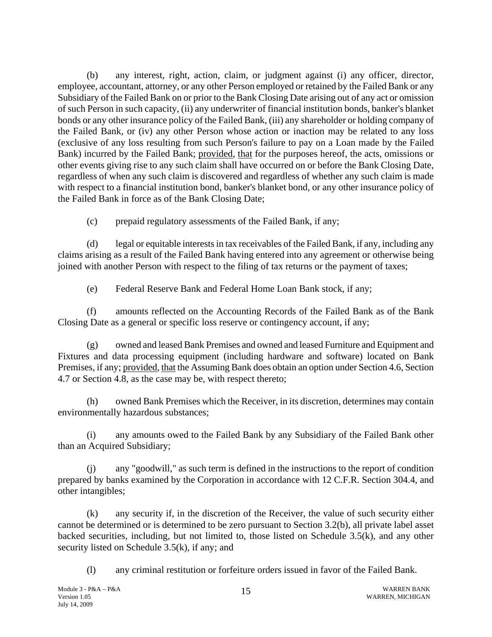(b) any interest, right, action, claim, or judgment against (i) any officer, director, employee, accountant, attorney, or any other Person employed or retained by the Failed Bank or any Subsidiary of the Failed Bank on or prior to the Bank Closing Date arising out of any act or omission of such Person in such capacity, (ii) any underwriter of financial institution bonds, banker's blanket bonds or any other insurance policy of the Failed Bank, (iii) any shareholder or holding company of the Failed Bank, or (iv) any other Person whose action or inaction may be related to any loss (exclusive of any loss resulting from such Person's failure to pay on a Loan made by the Failed Bank) incurred by the Failed Bank; provided, that for the purposes hereof, the acts, omissions or other events giving rise to any such claim shall have occurred on or before the Bank Closing Date, regardless of when any such claim is discovered and regardless of whether any such claim is made with respect to a financial institution bond, banker's blanket bond, or any other insurance policy of the Failed Bank in force as of the Bank Closing Date;

(c) prepaid regulatory assessments of the Failed Bank, if any;

(d) legal or equitable interests in tax receivables of the Failed Bank, if any, including any claims arising as a result of the Failed Bank having entered into any agreement or otherwise being joined with another Person with respect to the filing of tax returns or the payment of taxes;

(e) Federal Reserve Bank and Federal Home Loan Bank stock, if any;

(f) amounts reflected on the Accounting Records of the Failed Bank as of the Bank Closing Date as a general or specific loss reserve or contingency account, if any;

(g) owned and leased Bank Premises and owned and leased Furniture and Equipment and Fixtures and data processing equipment (including hardware and software) located on Bank Premises, if any; provided, that the Assuming Bank does obtain an option under Section 4.6, Section 4.7 or Section 4.8, as the case may be, with respect thereto;

(h) owned Bank Premises which the Receiver, in its discretion, determines may contain environmentally hazardous substances;

(i) any amounts owed to the Failed Bank by any Subsidiary of the Failed Bank other than an Acquired Subsidiary;

(j) any "goodwill," as such term is defined in the instructions to the report of condition prepared by banks examined by the Corporation in accordance with 12 C.F.R. Section 304.4, and other intangibles;

(k) any security if, in the discretion of the Receiver, the value of such security either cannot be determined or is determined to be zero pursuant to Section 3.2(b), all private label asset backed securities, including, but not limited to, those listed on Schedule 3.5(k), and any other security listed on Schedule 3.5(k), if any; and

(l) any criminal restitution or forfeiture orders issued in favor of the Failed Bank.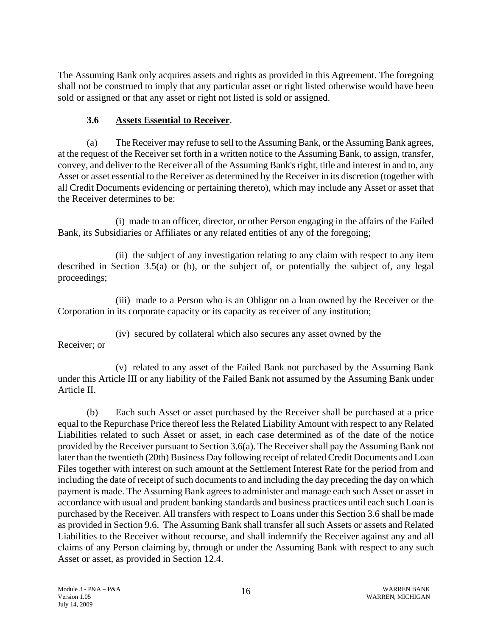<span id="page-19-0"></span>The Assuming Bank only acquires assets and rights as provided in this Agreement. The foregoing shall not be construed to imply that any particular asset or right listed otherwise would have been sold or assigned or that any asset or right not listed is sold or assigned.

## **3.6 Assets Essential to Receiver**.

(a) The Receiver may refuse to sell to the Assuming Bank, or the Assuming Bank agrees, at the request of the Receiver set forth in a written notice to the Assuming Bank, to assign, transfer, convey, and deliver to the Receiver all of the Assuming Bank's right, title and interest in and to, any Asset or asset essential to the Receiver as determined by the Receiver in its discretion (together with all Credit Documents evidencing or pertaining thereto), which may include any Asset or asset that the Receiver determines to be:

(i) made to an officer, director, or other Person engaging in the affairs of the Failed Bank, its Subsidiaries or Affiliates or any related entities of any of the foregoing;

(ii) the subject of any investigation relating to any claim with respect to any item described in Section 3.5(a) or (b), or the subject of, or potentially the subject of, any legal proceedings;

(iii) made to a Person who is an Obligor on a loan owned by the Receiver or the Corporation in its corporate capacity or its capacity as receiver of any institution;

(iv) secured by collateral which also secures any asset owned by the

Receiver; or

(v) related to any asset of the Failed Bank not purchased by the Assuming Bank under this Article III or any liability of the Failed Bank not assumed by the Assuming Bank under Article II.

(b) Each such Asset or asset purchased by the Receiver shall be purchased at a price equal to the Repurchase Price thereof less the Related Liability Amount with respect to any Related Liabilities related to such Asset or asset, in each case determined as of the date of the notice provided by the Receiver pursuant to Section 3.6(a). The Receiver shall pay the Assuming Bank not later than the twentieth (20th) Business Day following receipt of related Credit Documents and Loan Files together with interest on such amount at the Settlement Interest Rate for the period from and including the date of receipt of such documents to and including the day preceding the day on which payment is made. The Assuming Bank agrees to administer and manage each such Asset or asset in accordance with usual and prudent banking standards and business practices until each such Loan is purchased by the Receiver. All transfers with respect to Loans under this Section 3.6 shall be made as provided in Section 9.6. The Assuming Bank shall transfer all such Assets or assets and Related Liabilities to the Receiver without recourse, and shall indemnify the Receiver against any and all claims of any Person claiming by, through or under the Assuming Bank with respect to any such Asset or asset, as provided in Section 12.4.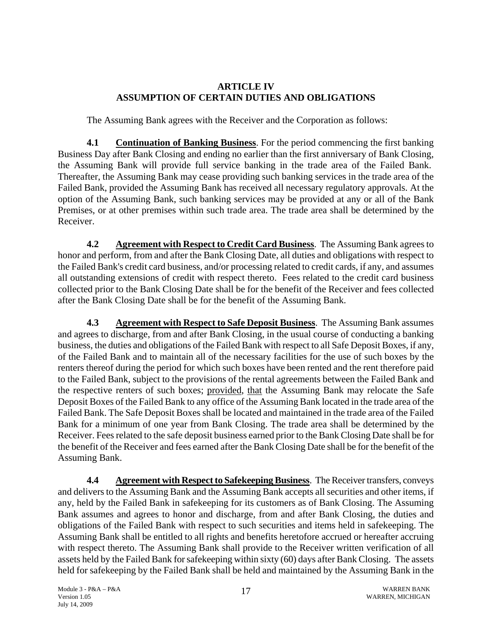### <span id="page-20-0"></span>**ARTICLE IV ASSUMPTION OF CERTAIN DUTIES AND OBLIGATIONS**

The Assuming Bank agrees with the Receiver and the Corporation as follows:

**4.1 Continuation of Banking Business**. For the period commencing the first banking Business Day after Bank Closing and ending no earlier than the first anniversary of Bank Closing, the Assuming Bank will provide full service banking in the trade area of the Failed Bank. Thereafter, the Assuming Bank may cease providing such banking services in the trade area of the Failed Bank, provided the Assuming Bank has received all necessary regulatory approvals. At the option of the Assuming Bank, such banking services may be provided at any or all of the Bank Premises, or at other premises within such trade area. The trade area shall be determined by the Receiver.

**4.2 Agreement with Respect to Credit Card Business**. The Assuming Bank agrees to honor and perform, from and after the Bank Closing Date, all duties and obligations with respect to the Failed Bank's credit card business, and/or processing related to credit cards, if any, and assumes all outstanding extensions of credit with respect thereto. Fees related to the credit card business collected prior to the Bank Closing Date shall be for the benefit of the Receiver and fees collected after the Bank Closing Date shall be for the benefit of the Assuming Bank.

**4.3 Agreement with Respect to Safe Deposit Business**. The Assuming Bank assumes and agrees to discharge, from and after Bank Closing, in the usual course of conducting a banking business, the duties and obligations of the Failed Bank with respect to all Safe Deposit Boxes, if any, of the Failed Bank and to maintain all of the necessary facilities for the use of such boxes by the renters thereof during the period for which such boxes have been rented and the rent therefore paid to the Failed Bank, subject to the provisions of the rental agreements between the Failed Bank and the respective renters of such boxes; provided, that the Assuming Bank may relocate the Safe Deposit Boxes of the Failed Bank to any office of the Assuming Bank located in the trade area of the Failed Bank. The Safe Deposit Boxes shall be located and maintained in the trade area of the Failed Bank for a minimum of one year from Bank Closing. The trade area shall be determined by the Receiver. Fees related to the safe deposit business earned prior to the Bank Closing Date shall be for the benefit of the Receiver and fees earned after the Bank Closing Date shall be for the benefit of the Assuming Bank.

**4.4** Agreement with Respect to Safekeeping Business. The Receiver transfers, conveys and delivers to the Assuming Bank and the Assuming Bank accepts all securities and other items, if any, held by the Failed Bank in safekeeping for its customers as of Bank Closing. The Assuming Bank assumes and agrees to honor and discharge, from and after Bank Closing, the duties and obligations of the Failed Bank with respect to such securities and items held in safekeeping. The Assuming Bank shall be entitled to all rights and benefits heretofore accrued or hereafter accruing with respect thereto. The Assuming Bank shall provide to the Receiver written verification of all assets held by the Failed Bank for safekeeping within sixty (60) days after Bank Closing. The assets held for safekeeping by the Failed Bank shall be held and maintained by the Assuming Bank in the

July 14, 2009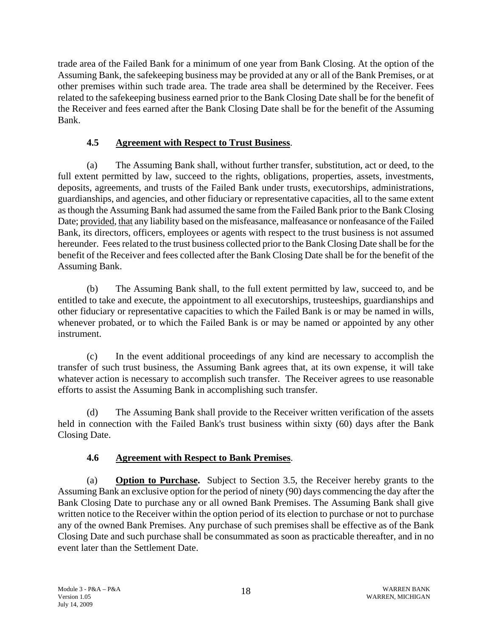<span id="page-21-0"></span>trade area of the Failed Bank for a minimum of one year from Bank Closing. At the option of the Assuming Bank, the safekeeping business may be provided at any or all of the Bank Premises, or at other premises within such trade area. The trade area shall be determined by the Receiver. Fees related to the safekeeping business earned prior to the Bank Closing Date shall be for the benefit of the Receiver and fees earned after the Bank Closing Date shall be for the benefit of the Assuming Bank.

## **4.5 Agreement with Respect to Trust Business**.

(a) The Assuming Bank shall, without further transfer, substitution, act or deed, to the full extent permitted by law, succeed to the rights, obligations, properties, assets, investments, deposits, agreements, and trusts of the Failed Bank under trusts, executorships, administrations, guardianships, and agencies, and other fiduciary or representative capacities, all to the same extent as though the Assuming Bank had assumed the same from the Failed Bank prior to the Bank Closing Date; provided, that any liability based on the misfeasance, malfeasance or nonfeasance of the Failed Bank, its directors, officers, employees or agents with respect to the trust business is not assumed hereunder. Fees related to the trust business collected prior to the Bank Closing Date shall be for the benefit of the Receiver and fees collected after the Bank Closing Date shall be for the benefit of the Assuming Bank.

(b) The Assuming Bank shall, to the full extent permitted by law, succeed to, and be entitled to take and execute, the appointment to all executorships, trusteeships, guardianships and other fiduciary or representative capacities to which the Failed Bank is or may be named in wills, whenever probated, or to which the Failed Bank is or may be named or appointed by any other instrument.

(c) In the event additional proceedings of any kind are necessary to accomplish the transfer of such trust business, the Assuming Bank agrees that, at its own expense, it will take whatever action is necessary to accomplish such transfer. The Receiver agrees to use reasonable efforts to assist the Assuming Bank in accomplishing such transfer.

(d) The Assuming Bank shall provide to the Receiver written verification of the assets held in connection with the Failed Bank's trust business within sixty (60) days after the Bank Closing Date.

# **4.6 Agreement with Respect to Bank Premises**.

(a) **Option to Purchase.** Subject to Section 3.5, the Receiver hereby grants to the Assuming Bank an exclusive option for the period of ninety (90) days commencing the day after the Bank Closing Date to purchase any or all owned Bank Premises. The Assuming Bank shall give written notice to the Receiver within the option period of its election to purchase or not to purchase any of the owned Bank Premises. Any purchase of such premises shall be effective as of the Bank Closing Date and such purchase shall be consummated as soon as practicable thereafter, and in no event later than the Settlement Date.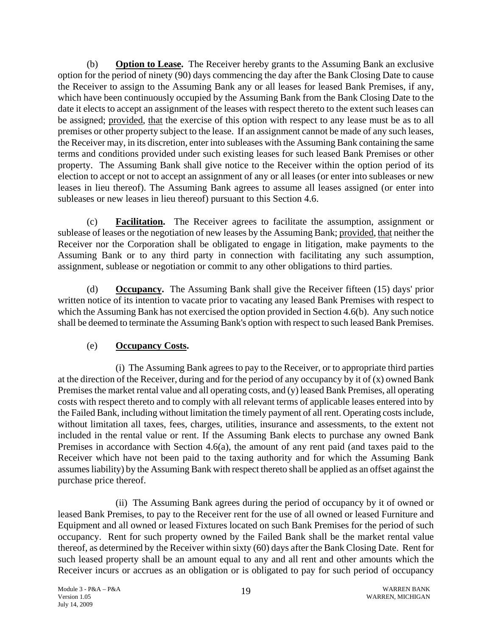(b) **Option to Lease.** The Receiver hereby grants to the Assuming Bank an exclusive option for the period of ninety (90) days commencing the day after the Bank Closing Date to cause the Receiver to assign to the Assuming Bank any or all leases for leased Bank Premises, if any, which have been continuously occupied by the Assuming Bank from the Bank Closing Date to the date it elects to accept an assignment of the leases with respect thereto to the extent such leases can be assigned; provided, that the exercise of this option with respect to any lease must be as to all premises or other property subject to the lease. If an assignment cannot be made of any such leases, the Receiver may, in its discretion, enter into subleases with the Assuming Bank containing the same terms and conditions provided under such existing leases for such leased Bank Premises or other property. The Assuming Bank shall give notice to the Receiver within the option period of its election to accept or not to accept an assignment of any or all leases (or enter into subleases or new leases in lieu thereof). The Assuming Bank agrees to assume all leases assigned (or enter into subleases or new leases in lieu thereof) pursuant to this Section 4.6.

(c) **Facilitation.** The Receiver agrees to facilitate the assumption, assignment or sublease of leases or the negotiation of new leases by the Assuming Bank; provided, that neither the Receiver nor the Corporation shall be obligated to engage in litigation, make payments to the Assuming Bank or to any third party in connection with facilitating any such assumption, assignment, sublease or negotiation or commit to any other obligations to third parties.

(d) **Occupancy.** The Assuming Bank shall give the Receiver fifteen (15) days' prior written notice of its intention to vacate prior to vacating any leased Bank Premises with respect to which the Assuming Bank has not exercised the option provided in Section 4.6(b). Any such notice shall be deemed to terminate the Assuming Bank's option with respect to such leased Bank Premises.

## (e) **Occupancy Costs.**

(i) The Assuming Bank agrees to pay to the Receiver, or to appropriate third parties at the direction of the Receiver, during and for the period of any occupancy by it of (x) owned Bank Premises the market rental value and all operating costs, and (y) leased Bank Premises, all operating costs with respect thereto and to comply with all relevant terms of applicable leases entered into by the Failed Bank, including without limitation the timely payment of all rent. Operating costs include, without limitation all taxes, fees, charges, utilities, insurance and assessments, to the extent not included in the rental value or rent. If the Assuming Bank elects to purchase any owned Bank Premises in accordance with Section 4.6(a), the amount of any rent paid (and taxes paid to the Receiver which have not been paid to the taxing authority and for which the Assuming Bank assumes liability) by the Assuming Bank with respect thereto shall be applied as an offset against the purchase price thereof.

(ii) The Assuming Bank agrees during the period of occupancy by it of owned or leased Bank Premises, to pay to the Receiver rent for the use of all owned or leased Furniture and Equipment and all owned or leased Fixtures located on such Bank Premises for the period of such occupancy. Rent for such property owned by the Failed Bank shall be the market rental value thereof, as determined by the Receiver within sixty (60) days after the Bank Closing Date. Rent for such leased property shall be an amount equal to any and all rent and other amounts which the Receiver incurs or accrues as an obligation or is obligated to pay for such period of occupancy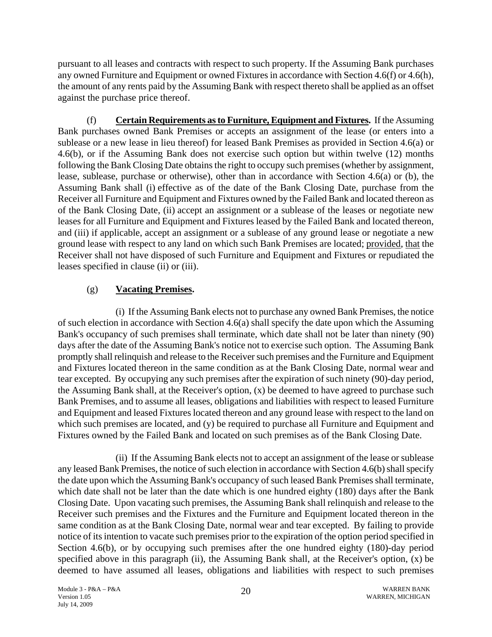pursuant to all leases and contracts with respect to such property. If the Assuming Bank purchases any owned Furniture and Equipment or owned Fixtures in accordance with Section 4.6(f) or 4.6(h), the amount of any rents paid by the Assuming Bank with respect thereto shall be applied as an offset against the purchase price thereof.

(f) **Certain Requirements as to Furniture, Equipment and Fixtures.** If the Assuming Bank purchases owned Bank Premises or accepts an assignment of the lease (or enters into a sublease or a new lease in lieu thereof) for leased Bank Premises as provided in Section 4.6(a) or 4.6(b), or if the Assuming Bank does not exercise such option but within twelve (12) months following the Bank Closing Date obtains the right to occupy such premises (whether by assignment, lease, sublease, purchase or otherwise), other than in accordance with Section 4.6(a) or (b), the Assuming Bank shall (i) effective as of the date of the Bank Closing Date, purchase from the Receiver all Furniture and Equipment and Fixtures owned by the Failed Bank and located thereon as of the Bank Closing Date, (ii) accept an assignment or a sublease of the leases or negotiate new leases for all Furniture and Equipment and Fixtures leased by the Failed Bank and located thereon, and (iii) if applicable, accept an assignment or a sublease of any ground lease or negotiate a new ground lease with respect to any land on which such Bank Premises are located; provided, that the Receiver shall not have disposed of such Furniture and Equipment and Fixtures or repudiated the leases specified in clause (ii) or (iii).

## (g) **Vacating Premises.**

(i) If the Assuming Bank elects not to purchase any owned Bank Premises, the notice of such election in accordance with Section 4.6(a) shall specify the date upon which the Assuming Bank's occupancy of such premises shall terminate, which date shall not be later than ninety (90) days after the date of the Assuming Bank's notice not to exercise such option. The Assuming Bank promptly shall relinquish and release to the Receiver such premises and the Furniture and Equipment and Fixtures located thereon in the same condition as at the Bank Closing Date, normal wear and tear excepted. By occupying any such premises after the expiration of such ninety (90)-day period, the Assuming Bank shall, at the Receiver's option, (x) be deemed to have agreed to purchase such Bank Premises, and to assume all leases, obligations and liabilities with respect to leased Furniture and Equipment and leased Fixtures located thereon and any ground lease with respect to the land on which such premises are located, and (y) be required to purchase all Furniture and Equipment and Fixtures owned by the Failed Bank and located on such premises as of the Bank Closing Date.

(ii) If the Assuming Bank elects not to accept an assignment of the lease or sublease any leased Bank Premises, the notice of such election in accordance with Section 4.6(b) shall specify the date upon which the Assuming Bank's occupancy of such leased Bank Premises shall terminate, which date shall not be later than the date which is one hundred eighty (180) days after the Bank Closing Date. Upon vacating such premises, the Assuming Bank shall relinquish and release to the Receiver such premises and the Fixtures and the Furniture and Equipment located thereon in the same condition as at the Bank Closing Date, normal wear and tear excepted. By failing to provide notice of its intention to vacate such premises prior to the expiration of the option period specified in Section 4.6(b), or by occupying such premises after the one hundred eighty (180)-day period specified above in this paragraph (ii), the Assuming Bank shall, at the Receiver's option, (x) be deemed to have assumed all leases, obligations and liabilities with respect to such premises

July 14, 2009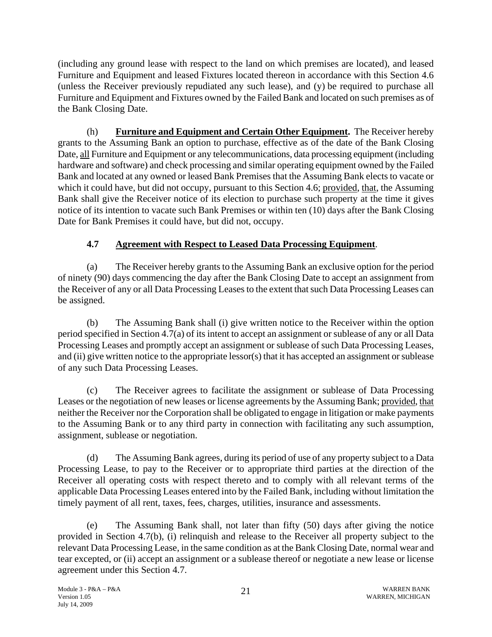<span id="page-24-0"></span>(including any ground lease with respect to the land on which premises are located), and leased Furniture and Equipment and leased Fixtures located thereon in accordance with this Section 4.6 (unless the Receiver previously repudiated any such lease), and (y) be required to purchase all Furniture and Equipment and Fixtures owned by the Failed Bank and located on such premises as of the Bank Closing Date.

(h) **Furniture and Equipment and Certain Other Equipment.** The Receiver hereby grants to the Assuming Bank an option to purchase, effective as of the date of the Bank Closing Date, all Furniture and Equipment or any telecommunications, data processing equipment (including hardware and software) and check processing and similar operating equipment owned by the Failed Bank and located at any owned or leased Bank Premises that the Assuming Bank elects to vacate or which it could have, but did not occupy, pursuant to this Section 4.6; provided, that, the Assuming Bank shall give the Receiver notice of its election to purchase such property at the time it gives notice of its intention to vacate such Bank Premises or within ten (10) days after the Bank Closing Date for Bank Premises it could have, but did not, occupy.

## **4.7 Agreement with Respect to Leased Data Processing Equipment**.

(a) The Receiver hereby grants to the Assuming Bank an exclusive option for the period of ninety (90) days commencing the day after the Bank Closing Date to accept an assignment from the Receiver of any or all Data Processing Leases to the extent that such Data Processing Leases can be assigned.

(b) The Assuming Bank shall (i) give written notice to the Receiver within the option period specified in Section 4.7(a) of its intent to accept an assignment or sublease of any or all Data Processing Leases and promptly accept an assignment or sublease of such Data Processing Leases, and (ii) give written notice to the appropriate lessor(s) that it has accepted an assignment or sublease of any such Data Processing Leases.

(c) The Receiver agrees to facilitate the assignment or sublease of Data Processing Leases or the negotiation of new leases or license agreements by the Assuming Bank; provided, that neither the Receiver nor the Corporation shall be obligated to engage in litigation or make payments to the Assuming Bank or to any third party in connection with facilitating any such assumption, assignment, sublease or negotiation.

(d) The Assuming Bank agrees, during its period of use of any property subject to a Data Processing Lease, to pay to the Receiver or to appropriate third parties at the direction of the Receiver all operating costs with respect thereto and to comply with all relevant terms of the applicable Data Processing Leases entered into by the Failed Bank, including without limitation the timely payment of all rent, taxes, fees, charges, utilities, insurance and assessments.

(e) The Assuming Bank shall, not later than fifty (50) days after giving the notice provided in Section 4.7(b), (i) relinquish and release to the Receiver all property subject to the relevant Data Processing Lease, in the same condition as at the Bank Closing Date, normal wear and tear excepted, or (ii) accept an assignment or a sublease thereof or negotiate a new lease or license agreement under this Section 4.7.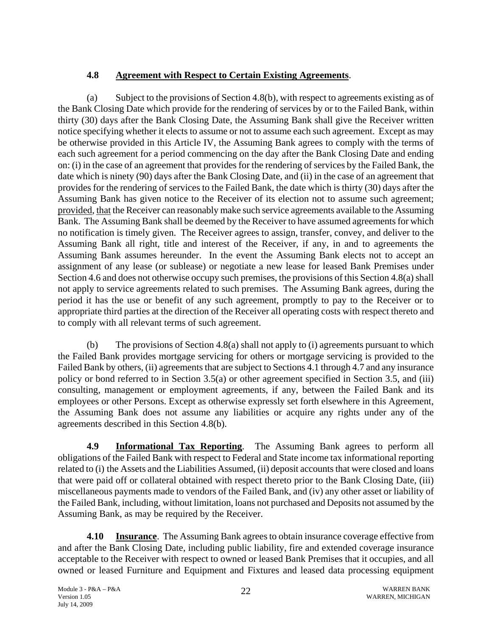## **4.8 Agreement with Respect to Certain Existing Agreements**.

<span id="page-25-0"></span>(a) Subject to the provisions of Section 4.8(b), with respect to agreements existing as of the Bank Closing Date which provide for the rendering of services by or to the Failed Bank, within thirty (30) days after the Bank Closing Date, the Assuming Bank shall give the Receiver written notice specifying whether it elects to assume or not to assume each such agreement. Except as may be otherwise provided in this Article IV, the Assuming Bank agrees to comply with the terms of each such agreement for a period commencing on the day after the Bank Closing Date and ending on: (i) in the case of an agreement that provides for the rendering of services by the Failed Bank, the date which is ninety (90) days after the Bank Closing Date, and (ii) in the case of an agreement that provides for the rendering of services to the Failed Bank, the date which is thirty (30) days after the Assuming Bank has given notice to the Receiver of its election not to assume such agreement; provided, that the Receiver can reasonably make such service agreements available to the Assuming Bank. The Assuming Bank shall be deemed by the Receiver to have assumed agreements for which no notification is timely given. The Receiver agrees to assign, transfer, convey, and deliver to the Assuming Bank all right, title and interest of the Receiver, if any, in and to agreements the Assuming Bank assumes hereunder. In the event the Assuming Bank elects not to accept an assignment of any lease (or sublease) or negotiate a new lease for leased Bank Premises under Section 4.6 and does not otherwise occupy such premises, the provisions of this Section 4.8(a) shall not apply to service agreements related to such premises. The Assuming Bank agrees, during the period it has the use or benefit of any such agreement, promptly to pay to the Receiver or to appropriate third parties at the direction of the Receiver all operating costs with respect thereto and to comply with all relevant terms of such agreement.

(b) The provisions of Section 4.8(a) shall not apply to (i) agreements pursuant to which the Failed Bank provides mortgage servicing for others or mortgage servicing is provided to the Failed Bank by others, (ii) agreements that are subject to Sections 4.1 through 4.7 and any insurance policy or bond referred to in Section 3.5(a) or other agreement specified in Section 3.5, and (iii) consulting, management or employment agreements, if any, between the Failed Bank and its employees or other Persons. Except as otherwise expressly set forth elsewhere in this Agreement, the Assuming Bank does not assume any liabilities or acquire any rights under any of the agreements described in this Section 4.8(b).

**4.9 Informational Tax Reporting**. The Assuming Bank agrees to perform all obligations of the Failed Bank with respect to Federal and State income tax informational reporting related to (i) the Assets and the Liabilities Assumed, (ii) deposit accounts that were closed and loans that were paid off or collateral obtained with respect thereto prior to the Bank Closing Date, (iii) miscellaneous payments made to vendors of the Failed Bank, and (iv) any other asset or liability of the Failed Bank, including, without limitation, loans not purchased and Deposits not assumed by the Assuming Bank, as may be required by the Receiver.

**4.10 Insurance**. The Assuming Bank agrees to obtain insurance coverage effective from and after the Bank Closing Date, including public liability, fire and extended coverage insurance acceptable to the Receiver with respect to owned or leased Bank Premises that it occupies, and all owned or leased Furniture and Equipment and Fixtures and leased data processing equipment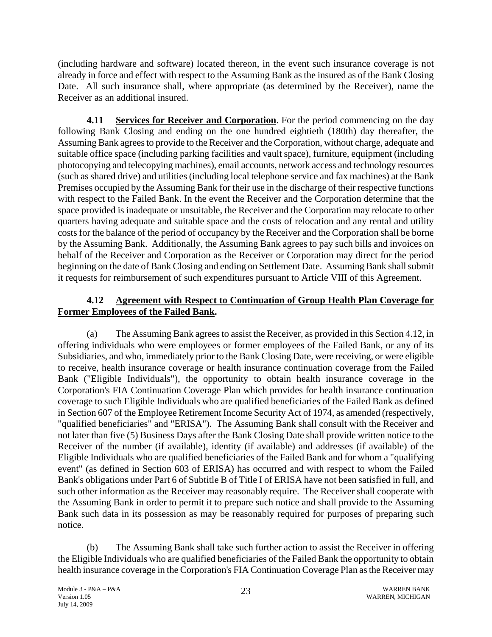<span id="page-26-0"></span>(including hardware and software) located thereon, in the event such insurance coverage is not already in force and effect with respect to the Assuming Bank as the insured as of the Bank Closing Date. All such insurance shall, where appropriate (as determined by the Receiver), name the Receiver as an additional insured.

**4.11 Services for Receiver and Corporation**. For the period commencing on the day following Bank Closing and ending on the one hundred eightieth (180th) day thereafter, the Assuming Bank agrees to provide to the Receiver and the Corporation, without charge, adequate and suitable office space (including parking facilities and vault space), furniture, equipment (including photocopying and telecopying machines), email accounts, network access and technology resources (such as shared drive) and utilities (including local telephone service and fax machines) at the Bank Premises occupied by the Assuming Bank for their use in the discharge of their respective functions with respect to the Failed Bank. In the event the Receiver and the Corporation determine that the space provided is inadequate or unsuitable, the Receiver and the Corporation may relocate to other quarters having adequate and suitable space and the costs of relocation and any rental and utility costs for the balance of the period of occupancy by the Receiver and the Corporation shall be borne by the Assuming Bank. Additionally, the Assuming Bank agrees to pay such bills and invoices on behalf of the Receiver and Corporation as the Receiver or Corporation may direct for the period beginning on the date of Bank Closing and ending on Settlement Date. Assuming Bank shall submit it requests for reimbursement of such expenditures pursuant to Article VIII of this Agreement.

## **4.12 Agreement with Respect to Continuation of Group Health Plan Coverage for Former Employees of the Failed Bank.**

(a) The Assuming Bank agrees to assist the Receiver, as provided in this Section 4.12, in offering individuals who were employees or former employees of the Failed Bank, or any of its Subsidiaries, and who, immediately prior to the Bank Closing Date, were receiving, or were eligible to receive, health insurance coverage or health insurance continuation coverage from the Failed Bank ("Eligible Individuals"), the opportunity to obtain health insurance coverage in the Corporation's FIA Continuation Coverage Plan which provides for health insurance continuation coverage to such Eligible Individuals who are qualified beneficiaries of the Failed Bank as defined in Section 607 of the Employee Retirement Income Security Act of 1974, as amended (respectively, "qualified beneficiaries" and "ERISA"). The Assuming Bank shall consult with the Receiver and not later than five (5) Business Days after the Bank Closing Date shall provide written notice to the Receiver of the number (if available), identity (if available) and addresses (if available) of the Eligible Individuals who are qualified beneficiaries of the Failed Bank and for whom a "qualifying event" (as defined in Section 603 of ERISA) has occurred and with respect to whom the Failed Bank's obligations under Part 6 of Subtitle B of Title I of ERISA have not been satisfied in full, and such other information as the Receiver may reasonably require. The Receiver shall cooperate with the Assuming Bank in order to permit it to prepare such notice and shall provide to the Assuming Bank such data in its possession as may be reasonably required for purposes of preparing such notice.

(b) The Assuming Bank shall take such further action to assist the Receiver in offering the Eligible Individuals who are qualified beneficiaries of the Failed Bank the opportunity to obtain health insurance coverage in the Corporation's FIA Continuation Coverage Plan as the Receiver may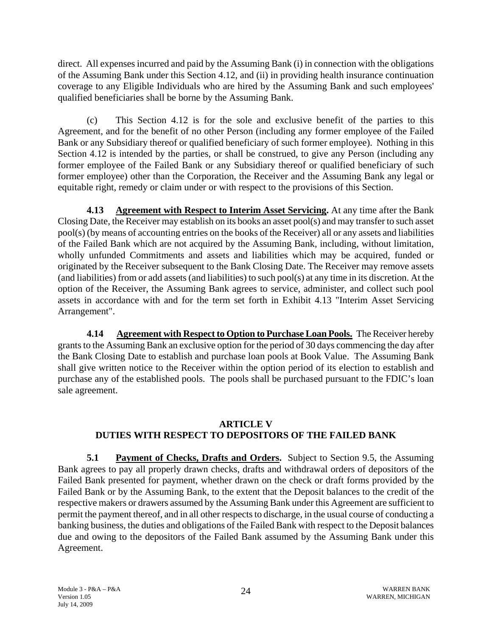<span id="page-27-0"></span>direct. All expenses incurred and paid by the Assuming Bank (i) in connection with the obligations of the Assuming Bank under this Section 4.12, and (ii) in providing health insurance continuation coverage to any Eligible Individuals who are hired by the Assuming Bank and such employees' qualified beneficiaries shall be borne by the Assuming Bank.

(c) This Section 4.12 is for the sole and exclusive benefit of the parties to this Agreement, and for the benefit of no other Person (including any former employee of the Failed Bank or any Subsidiary thereof or qualified beneficiary of such former employee). Nothing in this Section 4.12 is intended by the parties, or shall be construed, to give any Person (including any former employee of the Failed Bank or any Subsidiary thereof or qualified beneficiary of such former employee) other than the Corporation, the Receiver and the Assuming Bank any legal or equitable right, remedy or claim under or with respect to the provisions of this Section.

**4.13 Agreement with Respect to Interim Asset Servicing.** At any time after the Bank Closing Date, the Receiver may establish on its books an asset pool(s) and may transfer to such asset pool(s) (by means of accounting entries on the books of the Receiver) all or any assets and liabilities of the Failed Bank which are not acquired by the Assuming Bank, including, without limitation, wholly unfunded Commitments and assets and liabilities which may be acquired, funded or originated by the Receiver subsequent to the Bank Closing Date. The Receiver may remove assets (and liabilities) from or add assets (and liabilities) to such pool(s) at any time in its discretion. At the option of the Receiver, the Assuming Bank agrees to service, administer, and collect such pool assets in accordance with and for the term set forth in Exhibit 4.13 "Interim Asset Servicing Arrangement".

 **Agreement with Respect to Option to Purchase Loan Pools.** The Receiver hereby grants to the Assuming Bank an exclusive option for the period of 30 days commencing the day after the Bank Closing Date to establish and purchase loan pools at Book Value. The Assuming Bank shall give written notice to the Receiver within the option period of its election to establish and purchase any of the established pools. The pools shall be purchased pursuant to the FDIC's loan sale agreement.

## **ARTICLE V DUTIES WITH RESPECT TO DEPOSITORS OF THE FAILED BANK**

**5.1 Payment of Checks, Drafts and Orders.** Subject to Section 9.5, the Assuming Bank agrees to pay all properly drawn checks, drafts and withdrawal orders of depositors of the Failed Bank presented for payment, whether drawn on the check or draft forms provided by the Failed Bank or by the Assuming Bank, to the extent that the Deposit balances to the credit of the respective makers or drawers assumed by the Assuming Bank under this Agreement are sufficient to permit the payment thereof, and in all other respects to discharge, in the usual course of conducting a banking business, the duties and obligations of the Failed Bank with respect to the Deposit balances due and owing to the depositors of the Failed Bank assumed by the Assuming Bank under this Agreement.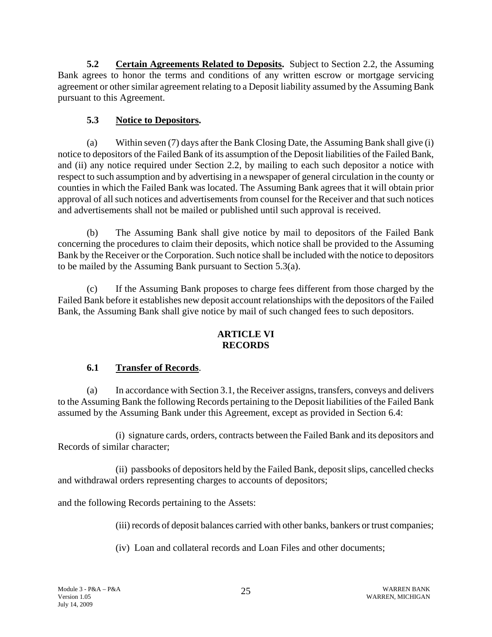<span id="page-28-0"></span>**5.2 Certain Agreements Related to Deposits.** Subject to Section 2.2, the Assuming Bank agrees to honor the terms and conditions of any written escrow or mortgage servicing agreement or other similar agreement relating to a Deposit liability assumed by the Assuming Bank pursuant to this Agreement.

# **5.3 Notice to Depositors.**

(a) Within seven (7) days after the Bank Closing Date, the Assuming Bank shall give (i) notice to depositors of the Failed Bank of its assumption of the Deposit liabilities of the Failed Bank, and (ii) any notice required under Section 2.2, by mailing to each such depositor a notice with respect to such assumption and by advertising in a newspaper of general circulation in the county or counties in which the Failed Bank was located. The Assuming Bank agrees that it will obtain prior approval of all such notices and advertisements from counsel for the Receiver and that such notices and advertisements shall not be mailed or published until such approval is received.

(b) The Assuming Bank shall give notice by mail to depositors of the Failed Bank concerning the procedures to claim their deposits, which notice shall be provided to the Assuming Bank by the Receiver or the Corporation. Such notice shall be included with the notice to depositors to be mailed by the Assuming Bank pursuant to Section 5.3(a).

(c) If the Assuming Bank proposes to charge fees different from those charged by the Failed Bank before it establishes new deposit account relationships with the depositors of the Failed Bank, the Assuming Bank shall give notice by mail of such changed fees to such depositors.

## **ARTICLE VI RECORDS**

## **6.1 Transfer of Records**.

(a) In accordance with Section 3.1, the Receiver assigns, transfers, conveys and delivers to the Assuming Bank the following Records pertaining to the Deposit liabilities of the Failed Bank assumed by the Assuming Bank under this Agreement, except as provided in Section 6.4:

(i) signature cards, orders, contracts between the Failed Bank and its depositors and Records of similar character;

(ii) passbooks of depositors held by the Failed Bank, deposit slips, cancelled checks and withdrawal orders representing charges to accounts of depositors;

and the following Records pertaining to the Assets:

(iii) records of deposit balances carried with other banks, bankers or trust companies;

(iv) Loan and collateral records and Loan Files and other documents;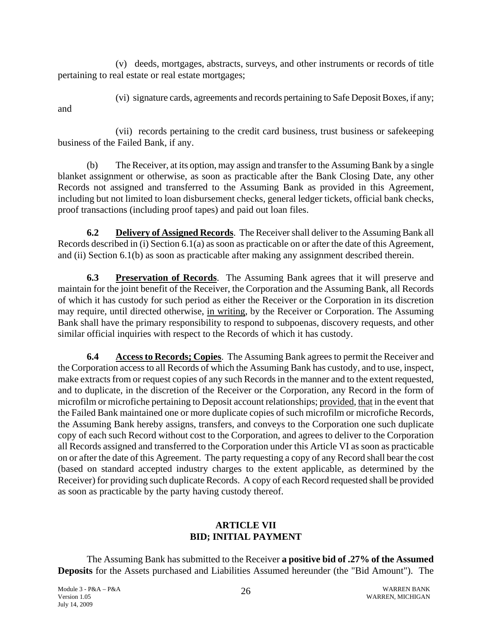<span id="page-29-0"></span>(v) deeds, mortgages, abstracts, surveys, and other instruments or records of title pertaining to real estate or real estate mortgages;

(vi) signature cards, agreements and records pertaining to Safe Deposit Boxes, if any;

and

(vii) records pertaining to the credit card business, trust business or safekeeping business of the Failed Bank, if any.

(b) The Receiver, at its option, may assign and transfer to the Assuming Bank by a single blanket assignment or otherwise, as soon as practicable after the Bank Closing Date, any other Records not assigned and transferred to the Assuming Bank as provided in this Agreement, including but not limited to loan disbursement checks, general ledger tickets, official bank checks, proof transactions (including proof tapes) and paid out loan files.

**6.2 Delivery of Assigned Records**. The Receiver shall deliver to the Assuming Bank all Records described in (i) Section 6.1(a) as soon as practicable on or after the date of this Agreement, and (ii) Section 6.1(b) as soon as practicable after making any assignment described therein.

**6.3** Preservation of Records. The Assuming Bank agrees that it will preserve and maintain for the joint benefit of the Receiver, the Corporation and the Assuming Bank, all Records of which it has custody for such period as either the Receiver or the Corporation in its discretion may require, until directed otherwise, in writing, by the Receiver or Corporation. The Assuming Bank shall have the primary responsibility to respond to subpoenas, discovery requests, and other similar official inquiries with respect to the Records of which it has custody.

**6.4 Access to Records; Copies**. The Assuming Bank agrees to permit the Receiver and the Corporation access to all Records of which the Assuming Bank has custody, and to use, inspect, make extracts from or request copies of any such Records in the manner and to the extent requested, and to duplicate, in the discretion of the Receiver or the Corporation, any Record in the form of microfilm or microfiche pertaining to Deposit account relationships; provided, that in the event that the Failed Bank maintained one or more duplicate copies of such microfilm or microfiche Records, the Assuming Bank hereby assigns, transfers, and conveys to the Corporation one such duplicate copy of each such Record without cost to the Corporation, and agrees to deliver to the Corporation all Records assigned and transferred to the Corporation under this Article VI as soon as practicable on or after the date of this Agreement. The party requesting a copy of any Record shall bear the cost (based on standard accepted industry charges to the extent applicable, as determined by the Receiver) for providing such duplicate Records. A copy of each Record requested shall be provided as soon as practicable by the party having custody thereof.

### **ARTICLE VII BID; INITIAL PAYMENT**

The Assuming Bank has submitted to the Receiver **a positive bid of .27% of the Assumed Deposits** for the Assets purchased and Liabilities Assumed hereunder (the "Bid Amount"). The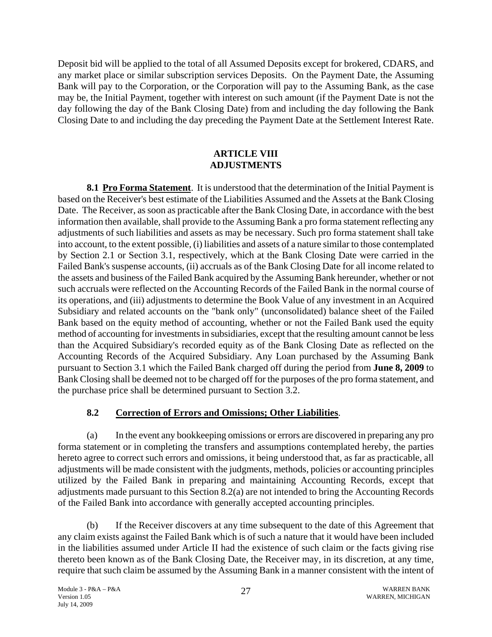<span id="page-30-0"></span>Deposit bid will be applied to the total of all Assumed Deposits except for brokered, CDARS, and any market place or similar subscription services Deposits. On the Payment Date, the Assuming Bank will pay to the Corporation, or the Corporation will pay to the Assuming Bank, as the case may be, the Initial Payment, together with interest on such amount (if the Payment Date is not the day following the day of the Bank Closing Date) from and including the day following the Bank Closing Date to and including the day preceding the Payment Date at the Settlement Interest Rate.

### **ARTICLE VIII ADJUSTMENTS**

**8.1 Pro Forma Statement**. It is understood that the determination of the Initial Payment is based on the Receiver's best estimate of the Liabilities Assumed and the Assets at the Bank Closing Date. The Receiver, as soon as practicable after the Bank Closing Date, in accordance with the best information then available, shall provide to the Assuming Bank a pro forma statement reflecting any adjustments of such liabilities and assets as may be necessary. Such pro forma statement shall take into account, to the extent possible, (i) liabilities and assets of a nature similar to those contemplated by Section 2.1 or Section 3.1, respectively, which at the Bank Closing Date were carried in the Failed Bank's suspense accounts, (ii) accruals as of the Bank Closing Date for all income related to the assets and business of the Failed Bank acquired by the Assuming Bank hereunder, whether or not such accruals were reflected on the Accounting Records of the Failed Bank in the normal course of its operations, and (iii) adjustments to determine the Book Value of any investment in an Acquired Subsidiary and related accounts on the "bank only" (unconsolidated) balance sheet of the Failed Bank based on the equity method of accounting, whether or not the Failed Bank used the equity method of accounting for investments in subsidiaries, except that the resulting amount cannot be less than the Acquired Subsidiary's recorded equity as of the Bank Closing Date as reflected on the Accounting Records of the Acquired Subsidiary. Any Loan purchased by the Assuming Bank pursuant to Section 3.1 which the Failed Bank charged off during the period from **June 8, 2009** to Bank Closing shall be deemed not to be charged off for the purposes of the pro forma statement, and the purchase price shall be determined pursuant to Section 3.2.

## **8.2 Correction of Errors and Omissions; Other Liabilities**.

(a) In the event any bookkeeping omissions or errors are discovered in preparing any pro forma statement or in completing the transfers and assumptions contemplated hereby, the parties hereto agree to correct such errors and omissions, it being understood that, as far as practicable, all adjustments will be made consistent with the judgments, methods, policies or accounting principles utilized by the Failed Bank in preparing and maintaining Accounting Records, except that adjustments made pursuant to this Section 8.2(a) are not intended to bring the Accounting Records of the Failed Bank into accordance with generally accepted accounting principles.

(b) If the Receiver discovers at any time subsequent to the date of this Agreement that any claim exists against the Failed Bank which is of such a nature that it would have been included in the liabilities assumed under Article II had the existence of such claim or the facts giving rise thereto been known as of the Bank Closing Date, the Receiver may, in its discretion, at any time, require that such claim be assumed by the Assuming Bank in a manner consistent with the intent of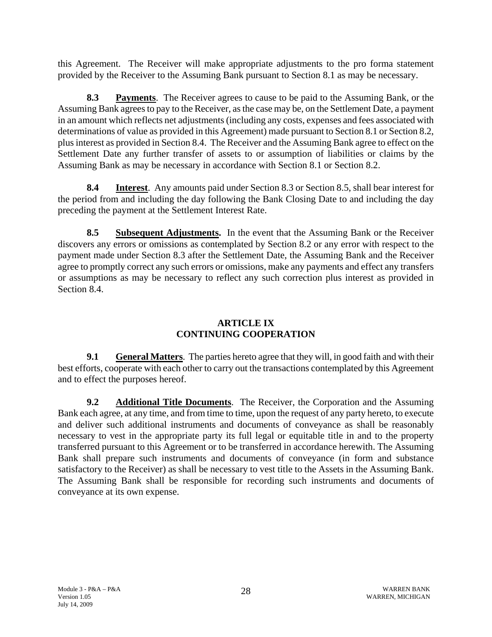<span id="page-31-0"></span>this Agreement. The Receiver will make appropriate adjustments to the pro forma statement provided by the Receiver to the Assuming Bank pursuant to Section 8.1 as may be necessary.

**8.3 Payments**. The Receiver agrees to cause to be paid to the Assuming Bank, or the Assuming Bank agrees to pay to the Receiver, as the case may be, on the Settlement Date, a payment in an amount which reflects net adjustments (including any costs, expenses and fees associated with determinations of value as provided in this Agreement) made pursuant to Section 8.1 or Section 8.2, plus interest as provided in Section 8.4. The Receiver and the Assuming Bank agree to effect on the Settlement Date any further transfer of assets to or assumption of liabilities or claims by the Assuming Bank as may be necessary in accordance with Section 8.1 or Section 8.2.

**8.4 Interest**. Any amounts paid under Section 8.3 or Section 8.5, shall bear interest for the period from and including the day following the Bank Closing Date to and including the day preceding the payment at the Settlement Interest Rate.

**8.5 Subsequent Adjustments.** In the event that the Assuming Bank or the Receiver discovers any errors or omissions as contemplated by Section 8.2 or any error with respect to the payment made under Section 8.3 after the Settlement Date, the Assuming Bank and the Receiver agree to promptly correct any such errors or omissions, make any payments and effect any transfers or assumptions as may be necessary to reflect any such correction plus interest as provided in Section 8.4.

### **ARTICLE IX CONTINUING COOPERATION**

**9.1** General Matters. The parties hereto agree that they will, in good faith and with their best efforts, cooperate with each other to carry out the transactions contemplated by this Agreement and to effect the purposes hereof.

**9.2** Additional Title Documents. The Receiver, the Corporation and the Assuming Bank each agree, at any time, and from time to time, upon the request of any party hereto, to execute and deliver such additional instruments and documents of conveyance as shall be reasonably necessary to vest in the appropriate party its full legal or equitable title in and to the property transferred pursuant to this Agreement or to be transferred in accordance herewith. The Assuming Bank shall prepare such instruments and documents of conveyance (in form and substance satisfactory to the Receiver) as shall be necessary to vest title to the Assets in the Assuming Bank. The Assuming Bank shall be responsible for recording such instruments and documents of conveyance at its own expense.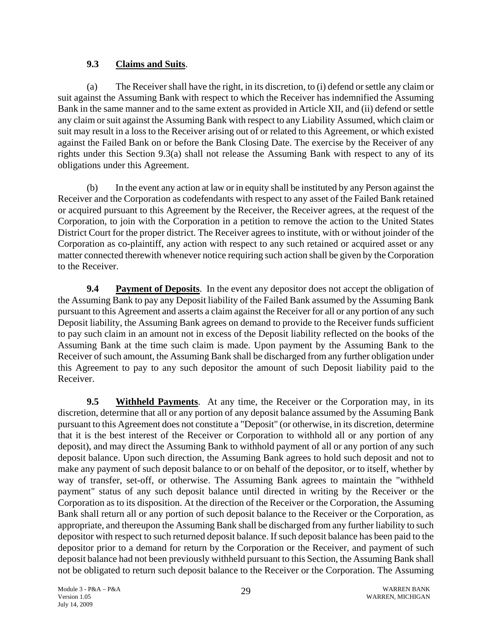## **9.3 Claims and Suits**.

<span id="page-32-0"></span>(a) The Receiver shall have the right, in its discretion, to (i) defend or settle any claim or suit against the Assuming Bank with respect to which the Receiver has indemnified the Assuming Bank in the same manner and to the same extent as provided in Article XII, and (ii) defend or settle any claim or suit against the Assuming Bank with respect to any Liability Assumed, which claim or suit may result in a loss to the Receiver arising out of or related to this Agreement, or which existed against the Failed Bank on or before the Bank Closing Date. The exercise by the Receiver of any rights under this Section 9.3(a) shall not release the Assuming Bank with respect to any of its obligations under this Agreement.

(b) In the event any action at law or in equity shall be instituted by any Person against the Receiver and the Corporation as codefendants with respect to any asset of the Failed Bank retained or acquired pursuant to this Agreement by the Receiver, the Receiver agrees, at the request of the Corporation, to join with the Corporation in a petition to remove the action to the United States District Court for the proper district. The Receiver agrees to institute, with or without joinder of the Corporation as co-plaintiff, any action with respect to any such retained or acquired asset or any matter connected therewith whenever notice requiring such action shall be given by the Corporation to the Receiver.

**9.4 Payment of Deposits**. In the event any depositor does not accept the obligation of the Assuming Bank to pay any Deposit liability of the Failed Bank assumed by the Assuming Bank pursuant to this Agreement and asserts a claim against the Receiver for all or any portion of any such Deposit liability, the Assuming Bank agrees on demand to provide to the Receiver funds sufficient to pay such claim in an amount not in excess of the Deposit liability reflected on the books of the Assuming Bank at the time such claim is made. Upon payment by the Assuming Bank to the Receiver of such amount, the Assuming Bank shall be discharged from any further obligation under this Agreement to pay to any such depositor the amount of such Deposit liability paid to the Receiver.

**9.5** Withheld Payments. At any time, the Receiver or the Corporation may, in its discretion, determine that all or any portion of any deposit balance assumed by the Assuming Bank pursuant to this Agreement does not constitute a "Deposit" (or otherwise, in its discretion, determine that it is the best interest of the Receiver or Corporation to withhold all or any portion of any deposit), and may direct the Assuming Bank to withhold payment of all or any portion of any such deposit balance. Upon such direction, the Assuming Bank agrees to hold such deposit and not to make any payment of such deposit balance to or on behalf of the depositor, or to itself, whether by way of transfer, set-off, or otherwise. The Assuming Bank agrees to maintain the "withheld payment" status of any such deposit balance until directed in writing by the Receiver or the Corporation as to its disposition. At the direction of the Receiver or the Corporation, the Assuming Bank shall return all or any portion of such deposit balance to the Receiver or the Corporation, as appropriate, and thereupon the Assuming Bank shall be discharged from any further liability to such depositor with respect to such returned deposit balance. If such deposit balance has been paid to the depositor prior to a demand for return by the Corporation or the Receiver, and payment of such deposit balance had not been previously withheld pursuant to this Section, the Assuming Bank shall not be obligated to return such deposit balance to the Receiver or the Corporation. The Assuming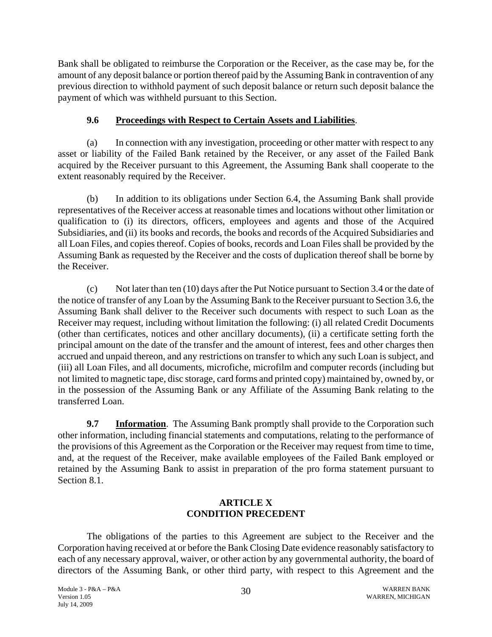<span id="page-33-0"></span>Bank shall be obligated to reimburse the Corporation or the Receiver, as the case may be, for the amount of any deposit balance or portion thereof paid by the Assuming Bank in contravention of any previous direction to withhold payment of such deposit balance or return such deposit balance the payment of which was withheld pursuant to this Section.

### **9.6 Proceedings with Respect to Certain Assets and Liabilities**.

(a) In connection with any investigation, proceeding or other matter with respect to any asset or liability of the Failed Bank retained by the Receiver, or any asset of the Failed Bank acquired by the Receiver pursuant to this Agreement, the Assuming Bank shall cooperate to the extent reasonably required by the Receiver.

(b) In addition to its obligations under Section 6.4, the Assuming Bank shall provide representatives of the Receiver access at reasonable times and locations without other limitation or qualification to (i) its directors, officers, employees and agents and those of the Acquired Subsidiaries, and (ii) its books and records, the books and records of the Acquired Subsidiaries and all Loan Files, and copies thereof. Copies of books, records and Loan Files shall be provided by the Assuming Bank as requested by the Receiver and the costs of duplication thereof shall be borne by the Receiver.

(c) Not later than ten (10) days after the Put Notice pursuant to Section 3.4 or the date of the notice of transfer of any Loan by the Assuming Bank to the Receiver pursuant to Section 3.6, the Assuming Bank shall deliver to the Receiver such documents with respect to such Loan as the Receiver may request, including without limitation the following: (i) all related Credit Documents (other than certificates, notices and other ancillary documents), (ii) a certificate setting forth the principal amount on the date of the transfer and the amount of interest, fees and other charges then accrued and unpaid thereon, and any restrictions on transfer to which any such Loan is subject, and (iii) all Loan Files, and all documents, microfiche, microfilm and computer records (including but not limited to magnetic tape, disc storage, card forms and printed copy) maintained by, owned by, or in the possession of the Assuming Bank or any Affiliate of the Assuming Bank relating to the transferred Loan.

**9.7** Information. The Assuming Bank promptly shall provide to the Corporation such other information, including financial statements and computations, relating to the performance of the provisions of this Agreement as the Corporation or the Receiver may request from time to time, and, at the request of the Receiver, make available employees of the Failed Bank employed or retained by the Assuming Bank to assist in preparation of the pro forma statement pursuant to Section 8.1.

### **ARTICLE X CONDITION PRECEDENT**

The obligations of the parties to this Agreement are subject to the Receiver and the Corporation having received at or before the Bank Closing Date evidence reasonably satisfactory to each of any necessary approval, waiver, or other action by any governmental authority, the board of directors of the Assuming Bank, or other third party, with respect to this Agreement and the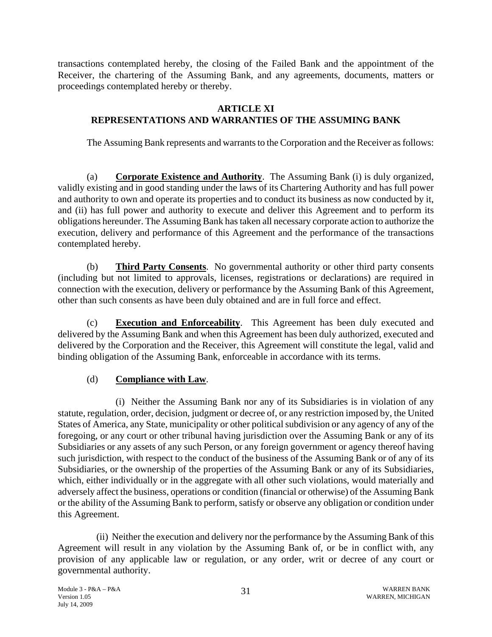<span id="page-34-0"></span>transactions contemplated hereby, the closing of the Failed Bank and the appointment of the Receiver, the chartering of the Assuming Bank, and any agreements, documents, matters or proceedings contemplated hereby or thereby.

## **ARTICLE XI**

# **REPRESENTATIONS AND WARRANTIES OF THE ASSUMING BANK**

The Assuming Bank represents and warrants to the Corporation and the Receiver as follows:

(a) **Corporate Existence and Authority**. The Assuming Bank (i) is duly organized, validly existing and in good standing under the laws of its Chartering Authority and has full power and authority to own and operate its properties and to conduct its business as now conducted by it, and (ii) has full power and authority to execute and deliver this Agreement and to perform its obligations hereunder. The Assuming Bank has taken all necessary corporate action to authorize the execution, delivery and performance of this Agreement and the performance of the transactions contemplated hereby.

(b) **Third Party Consents**. No governmental authority or other third party consents (including but not limited to approvals, licenses, registrations or declarations) are required in connection with the execution, delivery or performance by the Assuming Bank of this Agreement, other than such consents as have been duly obtained and are in full force and effect.

(c) **Execution and Enforceability**. This Agreement has been duly executed and delivered by the Assuming Bank and when this Agreement has been duly authorized, executed and delivered by the Corporation and the Receiver, this Agreement will constitute the legal, valid and binding obligation of the Assuming Bank, enforceable in accordance with its terms.

## (d) **Compliance with Law**.

(i) Neither the Assuming Bank nor any of its Subsidiaries is in violation of any statute, regulation, order, decision, judgment or decree of, or any restriction imposed by, the United States of America, any State, municipality or other political subdivision or any agency of any of the foregoing, or any court or other tribunal having jurisdiction over the Assuming Bank or any of its Subsidiaries or any assets of any such Person, or any foreign government or agency thereof having such jurisdiction, with respect to the conduct of the business of the Assuming Bank or of any of its Subsidiaries, or the ownership of the properties of the Assuming Bank or any of its Subsidiaries, which, either individually or in the aggregate with all other such violations, would materially and adversely affect the business, operations or condition (financial or otherwise) of the Assuming Bank or the ability of the Assuming Bank to perform, satisfy or observe any obligation or condition under this Agreement.

(ii) Neither the execution and delivery nor the performance by the Assuming Bank of this Agreement will result in any violation by the Assuming Bank of, or be in conflict with, any provision of any applicable law or regulation, or any order, writ or decree of any court or governmental authority.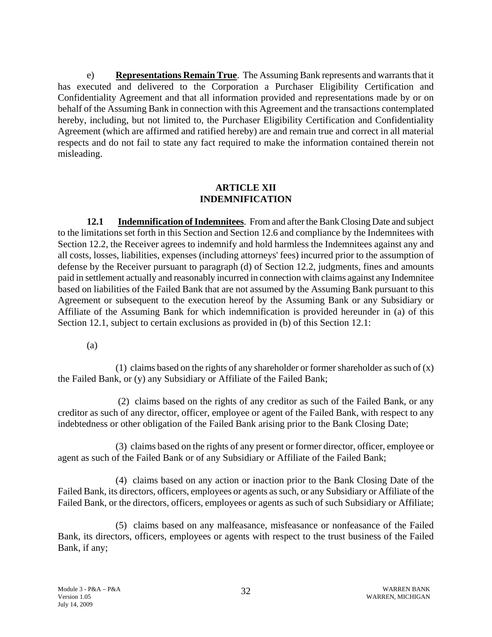<span id="page-35-0"></span>e) **Representations Remain True**. The Assuming Bank represents and warrants that it has executed and delivered to the Corporation a Purchaser Eligibility Certification and Confidentiality Agreement and that all information provided and representations made by or on behalf of the Assuming Bank in connection with this Agreement and the transactions contemplated hereby, including, but not limited to, the Purchaser Eligibility Certification and Confidentiality Agreement (which are affirmed and ratified hereby) are and remain true and correct in all material respects and do not fail to state any fact required to make the information contained therein not misleading.

#### **ARTICLE XII INDEMNIFICATION**

**12.1 Indemnification of Indemnitees**. From and after the Bank Closing Date and subject to the limitations set forth in this Section and Section 12.6 and compliance by the Indemnitees with Section 12.2, the Receiver agrees to indemnify and hold harmless the Indemnitees against any and all costs, losses, liabilities, expenses (including attorneys' fees) incurred prior to the assumption of defense by the Receiver pursuant to paragraph (d) of Section 12.2, judgments, fines and amounts paid in settlement actually and reasonably incurred in connection with claims against any Indemnitee based on liabilities of the Failed Bank that are not assumed by the Assuming Bank pursuant to this Agreement or subsequent to the execution hereof by the Assuming Bank or any Subsidiary or Affiliate of the Assuming Bank for which indemnification is provided hereunder in (a) of this Section 12.1, subject to certain exclusions as provided in (b) of this Section 12.1:

(a)

(1) claims based on the rights of any shareholder or former shareholder as such of  $(x)$ the Failed Bank, or (y) any Subsidiary or Affiliate of the Failed Bank;

(2) claims based on the rights of any creditor as such of the Failed Bank, or any creditor as such of any director, officer, employee or agent of the Failed Bank, with respect to any indebtedness or other obligation of the Failed Bank arising prior to the Bank Closing Date;

(3) claims based on the rights of any present or former director, officer, employee or agent as such of the Failed Bank or of any Subsidiary or Affiliate of the Failed Bank;

(4) claims based on any action or inaction prior to the Bank Closing Date of the Failed Bank, its directors, officers, employees or agents as such, or any Subsidiary or Affiliate of the Failed Bank, or the directors, officers, employees or agents as such of such Subsidiary or Affiliate;

(5) claims based on any malfeasance, misfeasance or nonfeasance of the Failed Bank, its directors, officers, employees or agents with respect to the trust business of the Failed Bank, if any;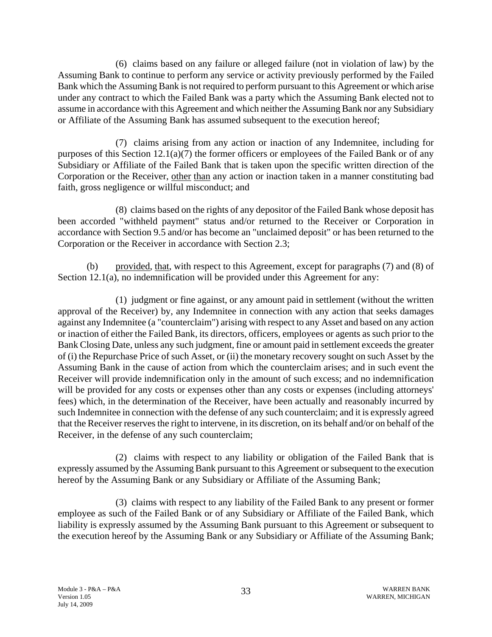(6) claims based on any failure or alleged failure (not in violation of law) by the Assuming Bank to continue to perform any service or activity previously performed by the Failed Bank which the Assuming Bank is not required to perform pursuant to this Agreement or which arise under any contract to which the Failed Bank was a party which the Assuming Bank elected not to assume in accordance with this Agreement and which neither the Assuming Bank nor any Subsidiary or Affiliate of the Assuming Bank has assumed subsequent to the execution hereof;

(7) claims arising from any action or inaction of any Indemnitee, including for purposes of this Section 12.1(a)(7) the former officers or employees of the Failed Bank or of any Subsidiary or Affiliate of the Failed Bank that is taken upon the specific written direction of the Corporation or the Receiver, other than any action or inaction taken in a manner constituting bad faith, gross negligence or willful misconduct; and

(8) claims based on the rights of any depositor of the Failed Bank whose deposit has been accorded "withheld payment" status and/or returned to the Receiver or Corporation in accordance with Section 9.5 and/or has become an "unclaimed deposit" or has been returned to the Corporation or the Receiver in accordance with Section 2.3;

(b) provided, that, with respect to this Agreement, except for paragraphs (7) and (8) of Section 12.1(a), no indemnification will be provided under this Agreement for any:

(1) judgment or fine against, or any amount paid in settlement (without the written approval of the Receiver) by, any Indemnitee in connection with any action that seeks damages against any Indemnitee (a "counterclaim") arising with respect to any Asset and based on any action or inaction of either the Failed Bank, its directors, officers, employees or agents as such prior to the Bank Closing Date, unless any such judgment, fine or amount paid in settlement exceeds the greater of (i) the Repurchase Price of such Asset, or (ii) the monetary recovery sought on such Asset by the Assuming Bank in the cause of action from which the counterclaim arises; and in such event the Receiver will provide indemnification only in the amount of such excess; and no indemnification will be provided for any costs or expenses other than any costs or expenses (including attorneys' fees) which, in the determination of the Receiver, have been actually and reasonably incurred by such Indemnitee in connection with the defense of any such counterclaim; and it is expressly agreed that the Receiver reserves the right to intervene, in its discretion, on its behalf and/or on behalf of the Receiver, in the defense of any such counterclaim;

(2) claims with respect to any liability or obligation of the Failed Bank that is expressly assumed by the Assuming Bank pursuant to this Agreement or subsequent to the execution hereof by the Assuming Bank or any Subsidiary or Affiliate of the Assuming Bank;

(3) claims with respect to any liability of the Failed Bank to any present or former employee as such of the Failed Bank or of any Subsidiary or Affiliate of the Failed Bank, which liability is expressly assumed by the Assuming Bank pursuant to this Agreement or subsequent to the execution hereof by the Assuming Bank or any Subsidiary or Affiliate of the Assuming Bank;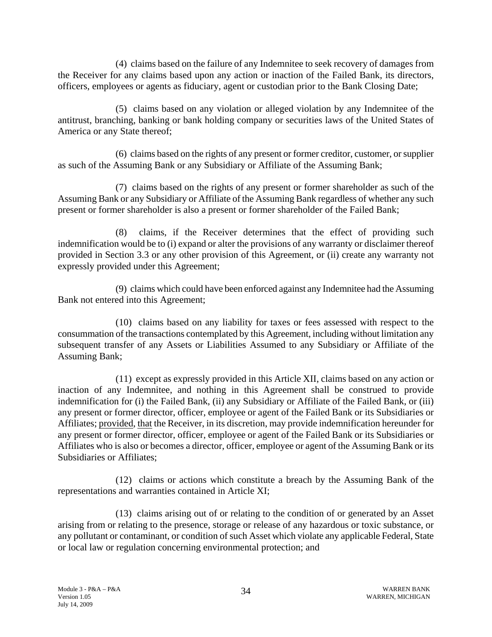(4) claims based on the failure of any Indemnitee to seek recovery of damages from the Receiver for any claims based upon any action or inaction of the Failed Bank, its directors, officers, employees or agents as fiduciary, agent or custodian prior to the Bank Closing Date;

(5) claims based on any violation or alleged violation by any Indemnitee of the antitrust, branching, banking or bank holding company or securities laws of the United States of America or any State thereof;

(6) claims based on the rights of any present or former creditor, customer, or supplier as such of the Assuming Bank or any Subsidiary or Affiliate of the Assuming Bank;

(7) claims based on the rights of any present or former shareholder as such of the Assuming Bank or any Subsidiary or Affiliate of the Assuming Bank regardless of whether any such present or former shareholder is also a present or former shareholder of the Failed Bank;

(8) claims, if the Receiver determines that the effect of providing such indemnification would be to (i) expand or alter the provisions of any warranty or disclaimer thereof provided in Section 3.3 or any other provision of this Agreement, or (ii) create any warranty not expressly provided under this Agreement;

(9) claims which could have been enforced against any Indemnitee had the Assuming Bank not entered into this Agreement;

(10) claims based on any liability for taxes or fees assessed with respect to the consummation of the transactions contemplated by this Agreement, including without limitation any subsequent transfer of any Assets or Liabilities Assumed to any Subsidiary or Affiliate of the Assuming Bank;

(11) except as expressly provided in this Article XII, claims based on any action or inaction of any Indemnitee, and nothing in this Agreement shall be construed to provide indemnification for (i) the Failed Bank, (ii) any Subsidiary or Affiliate of the Failed Bank, or (iii) any present or former director, officer, employee or agent of the Failed Bank or its Subsidiaries or Affiliates; provided, that the Receiver, in its discretion, may provide indemnification hereunder for any present or former director, officer, employee or agent of the Failed Bank or its Subsidiaries or Affiliates who is also or becomes a director, officer, employee or agent of the Assuming Bank or its Subsidiaries or Affiliates;

(12) claims or actions which constitute a breach by the Assuming Bank of the representations and warranties contained in Article XI;

(13) claims arising out of or relating to the condition of or generated by an Asset arising from or relating to the presence, storage or release of any hazardous or toxic substance, or any pollutant or contaminant, or condition of such Asset which violate any applicable Federal, State or local law or regulation concerning environmental protection; and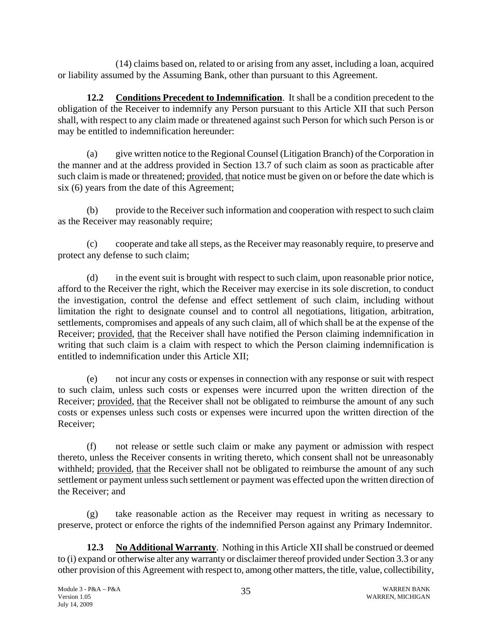(14) claims based on, related to or arising from any asset, including a loan, acquired or liability assumed by the Assuming Bank, other than pursuant to this Agreement.

**12.2 Conditions Precedent to Indemnification**. It shall be a condition precedent to the obligation of the Receiver to indemnify any Person pursuant to this Article XII that such Person shall, with respect to any claim made or threatened against such Person for which such Person is or may be entitled to indemnification hereunder:

(a) give written notice to the Regional Counsel (Litigation Branch) of the Corporation in the manner and at the address provided in Section 13.7 of such claim as soon as practicable after such claim is made or threatened; provided, that notice must be given on or before the date which is six (6) years from the date of this Agreement;

(b) provide to the Receiver such information and cooperation with respect to such claim as the Receiver may reasonably require;

(c) cooperate and take all steps, as the Receiver may reasonably require, to preserve and protect any defense to such claim;

(d) in the event suit is brought with respect to such claim, upon reasonable prior notice, afford to the Receiver the right, which the Receiver may exercise in its sole discretion, to conduct the investigation, control the defense and effect settlement of such claim, including without limitation the right to designate counsel and to control all negotiations, litigation, arbitration, settlements, compromises and appeals of any such claim, all of which shall be at the expense of the Receiver; provided, that the Receiver shall have notified the Person claiming indemnification in writing that such claim is a claim with respect to which the Person claiming indemnification is entitled to indemnification under this Article XII;

(e) not incur any costs or expenses in connection with any response or suit with respect to such claim, unless such costs or expenses were incurred upon the written direction of the Receiver; provided, that the Receiver shall not be obligated to reimburse the amount of any such costs or expenses unless such costs or expenses were incurred upon the written direction of the Receiver;

(f) not release or settle such claim or make any payment or admission with respect thereto, unless the Receiver consents in writing thereto, which consent shall not be unreasonably withheld; provided, that the Receiver shall not be obligated to reimburse the amount of any such settlement or payment unless such settlement or payment was effected upon the written direction of the Receiver; and

(g) take reasonable action as the Receiver may request in writing as necessary to preserve, protect or enforce the rights of the indemnified Person against any Primary Indemnitor.

**12.3 No Additional Warranty**. Nothing in this Article XII shall be construed or deemed to (i) expand or otherwise alter any warranty or disclaimer thereof provided under Section 3.3 or any other provision of this Agreement with respect to, among other matters, the title, value, collectibility,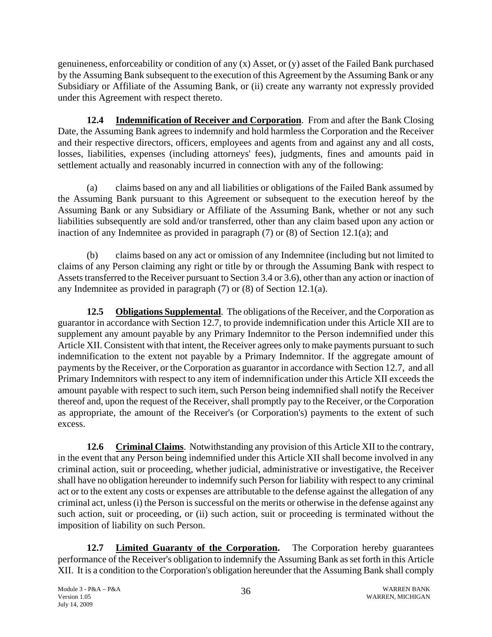genuineness, enforceability or condition of any (x) Asset, or (y) asset of the Failed Bank purchased by the Assuming Bank subsequent to the execution of this Agreement by the Assuming Bank or any Subsidiary or Affiliate of the Assuming Bank, or (ii) create any warranty not expressly provided under this Agreement with respect thereto.

**12.4 Indemnification of Receiver and Corporation**. From and after the Bank Closing Date, the Assuming Bank agrees to indemnify and hold harmless the Corporation and the Receiver and their respective directors, officers, employees and agents from and against any and all costs, losses, liabilities, expenses (including attorneys' fees), judgments, fines and amounts paid in settlement actually and reasonably incurred in connection with any of the following:

(a) claims based on any and all liabilities or obligations of the Failed Bank assumed by the Assuming Bank pursuant to this Agreement or subsequent to the execution hereof by the Assuming Bank or any Subsidiary or Affiliate of the Assuming Bank, whether or not any such liabilities subsequently are sold and/or transferred, other than any claim based upon any action or inaction of any Indemnitee as provided in paragraph (7) or (8) of Section 12.1(a); and

(b) claims based on any act or omission of any Indemnitee (including but not limited to claims of any Person claiming any right or title by or through the Assuming Bank with respect to Assets transferred to the Receiver pursuant to Section 3.4 or 3.6), other than any action or inaction of any Indemnitee as provided in paragraph (7) or (8) of Section 12.1(a).

**12.5 Obligations Supplemental**. The obligations of the Receiver, and the Corporation as guarantor in accordance with Section 12.7, to provide indemnification under this Article XII are to supplement any amount payable by any Primary Indemnitor to the Person indemnified under this Article XII. Consistent with that intent, the Receiver agrees only to make payments pursuant to such indemnification to the extent not payable by a Primary Indemnitor. If the aggregate amount of payments by the Receiver, or the Corporation as guarantor in accordance with Section 12.7, and all Primary Indemnitors with respect to any item of indemnification under this Article XII exceeds the amount payable with respect to such item, such Person being indemnified shall notify the Receiver thereof and, upon the request of the Receiver, shall promptly pay to the Receiver, or the Corporation as appropriate, the amount of the Receiver's (or Corporation's) payments to the extent of such excess.

**12.6 Criminal Claims**. Notwithstanding any provision of this Article XII to the contrary, in the event that any Person being indemnified under this Article XII shall become involved in any criminal action, suit or proceeding, whether judicial, administrative or investigative, the Receiver shall have no obligation hereunder to indemnify such Person for liability with respect to any criminal act or to the extent any costs or expenses are attributable to the defense against the allegation of any criminal act, unless (i) the Person is successful on the merits or otherwise in the defense against any such action, suit or proceeding, or (ii) such action, suit or proceeding is terminated without the imposition of liability on such Person.

12.7 **Limited Guaranty of the Corporation.** The Corporation hereby guarantees performance of the Receiver's obligation to indemnify the Assuming Bank as set forth in this Article XII. It is a condition to the Corporation's obligation hereunder that the Assuming Bank shall comply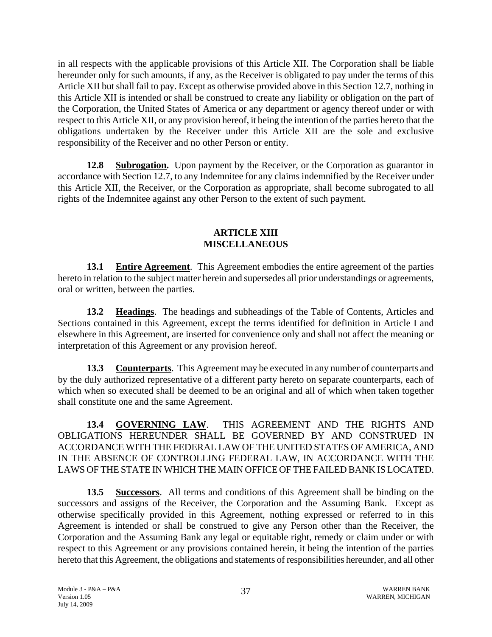in all respects with the applicable provisions of this Article XII. The Corporation shall be liable hereunder only for such amounts, if any, as the Receiver is obligated to pay under the terms of this Article XII but shall fail to pay. Except as otherwise provided above in this Section 12.7, nothing in this Article XII is intended or shall be construed to create any liability or obligation on the part of the Corporation, the United States of America or any department or agency thereof under or with respect to this Article XII, or any provision hereof, it being the intention of the parties hereto that the obligations undertaken by the Receiver under this Article XII are the sole and exclusive responsibility of the Receiver and no other Person or entity.

**12.8** Subrogation. Upon payment by the Receiver, or the Corporation as guarantor in accordance with Section 12.7, to any Indemnitee for any claims indemnified by the Receiver under this Article XII, the Receiver, or the Corporation as appropriate, shall become subrogated to all rights of the Indemnitee against any other Person to the extent of such payment.

### **ARTICLE XIII MISCELLANEOUS**

**13.1 Entire Agreement**. This Agreement embodies the entire agreement of the parties hereto in relation to the subject matter herein and supersedes all prior understandings or agreements, oral or written, between the parties.

**13.2 Headings**. The headings and subheadings of the Table of Contents, Articles and Sections contained in this Agreement, except the terms identified for definition in Article I and elsewhere in this Agreement, are inserted for convenience only and shall not affect the meaning or interpretation of this Agreement or any provision hereof.

**13.3 Counterparts**. This Agreement may be executed in any number of counterparts and by the duly authorized representative of a different party hereto on separate counterparts, each of which when so executed shall be deemed to be an original and all of which when taken together shall constitute one and the same Agreement.

**13.4 GOVERNING LAW**. THIS AGREEMENT AND THE RIGHTS AND OBLIGATIONS HEREUNDER SHALL BE GOVERNED BY AND CONSTRUED IN ACCORDANCE WITH THE FEDERAL LAW OF THE UNITED STATES OF AMERICA, AND IN THE ABSENCE OF CONTROLLING FEDERAL LAW, IN ACCORDANCE WITH THE LAWS OF THE STATE IN WHICH THE MAIN OFFICE OF THE FAILED BANK IS LOCATED.

**13.5 Successors**. All terms and conditions of this Agreement shall be binding on the successors and assigns of the Receiver, the Corporation and the Assuming Bank. Except as otherwise specifically provided in this Agreement, nothing expressed or referred to in this Agreement is intended or shall be construed to give any Person other than the Receiver, the Corporation and the Assuming Bank any legal or equitable right, remedy or claim under or with respect to this Agreement or any provisions contained herein, it being the intention of the parties hereto that this Agreement, the obligations and statements of responsibilities hereunder, and all other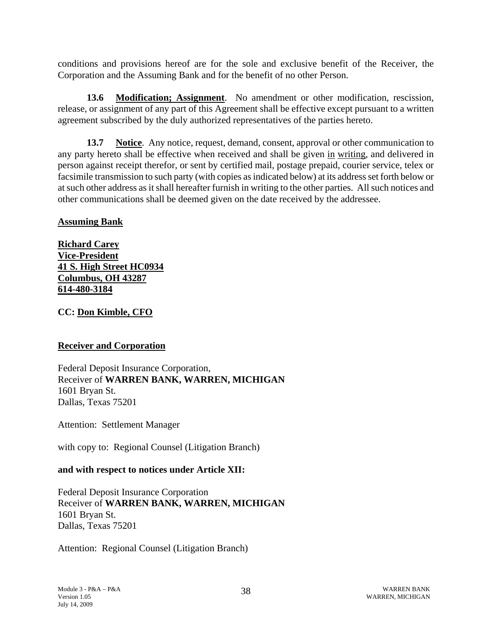conditions and provisions hereof are for the sole and exclusive benefit of the Receiver, the Corporation and the Assuming Bank and for the benefit of no other Person.

**13.6 Modification; Assignment**. No amendment or other modification, rescission, release, or assignment of any part of this Agreement shall be effective except pursuant to a written agreement subscribed by the duly authorized representatives of the parties hereto.

**13.7** Notice. Any notice, request, demand, consent, approval or other communication to any party hereto shall be effective when received and shall be given in writing, and delivered in person against receipt therefor, or sent by certified mail, postage prepaid, courier service, telex or facsimile transmission to such party (with copies as indicated below) at its address set forth below or at such other address as it shall hereafter furnish in writing to the other parties. All such notices and other communications shall be deemed given on the date received by the addressee.

### **Assuming Bank**

**Richard Carey Vice-President 41 S. High Street HC0934 Columbus, OH 43287 614-480-3184** 

**CC: Don Kimble, CFO** 

## **Receiver and Corporation**

Federal Deposit Insurance Corporation, Receiver of **WARREN BANK, WARREN, MICHIGAN**  1601 Bryan St. Dallas, Texas 75201

Attention: Settlement Manager

with copy to: Regional Counsel (Litigation Branch)

## **and with respect to notices under Article XII:**

Federal Deposit Insurance Corporation Receiver of **WARREN BANK, WARREN, MICHIGAN**  1601 Bryan St. Dallas, Texas 75201

Attention: Regional Counsel (Litigation Branch)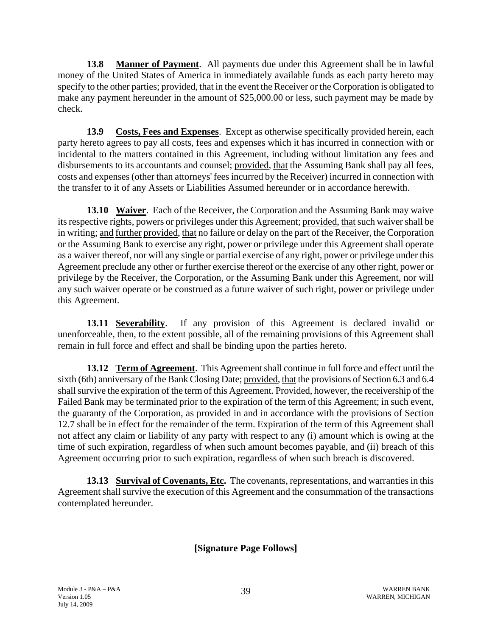**13.8 Manner of Payment**. All payments due under this Agreement shall be in lawful money of the United States of America in immediately available funds as each party hereto may specify to the other parties; provided, that in the event the Receiver or the Corporation is obligated to make any payment hereunder in the amount of \$25,000.00 or less, such payment may be made by check.

**13.9 Costs, Fees and Expenses**. Except as otherwise specifically provided herein, each party hereto agrees to pay all costs, fees and expenses which it has incurred in connection with or incidental to the matters contained in this Agreement, including without limitation any fees and disbursements to its accountants and counsel; provided, that the Assuming Bank shall pay all fees, costs and expenses (other than attorneys' fees incurred by the Receiver) incurred in connection with the transfer to it of any Assets or Liabilities Assumed hereunder or in accordance herewith.

**13.10 Waiver**. Each of the Receiver, the Corporation and the Assuming Bank may waive its respective rights, powers or privileges under this Agreement; provided, that such waiver shall be in writing; and further provided, that no failure or delay on the part of the Receiver, the Corporation or the Assuming Bank to exercise any right, power or privilege under this Agreement shall operate as a waiver thereof, nor will any single or partial exercise of any right, power or privilege under this Agreement preclude any other or further exercise thereof or the exercise of any other right, power or privilege by the Receiver, the Corporation, or the Assuming Bank under this Agreement, nor will any such waiver operate or be construed as a future waiver of such right, power or privilege under this Agreement.

**13.11 Severability**. If any provision of this Agreement is declared invalid or unenforceable, then, to the extent possible, all of the remaining provisions of this Agreement shall remain in full force and effect and shall be binding upon the parties hereto.

**13.12 Term of Agreement**. This Agreement shall continue in full force and effect until the sixth (6th) anniversary of the Bank Closing Date; provided, that the provisions of Section 6.3 and 6.4 shall survive the expiration of the term of this Agreement. Provided, however, the receivership of the Failed Bank may be terminated prior to the expiration of the term of this Agreement; in such event, the guaranty of the Corporation, as provided in and in accordance with the provisions of Section 12.7 shall be in effect for the remainder of the term. Expiration of the term of this Agreement shall not affect any claim or liability of any party with respect to any (i) amount which is owing at the time of such expiration, regardless of when such amount becomes payable, and (ii) breach of this Agreement occurring prior to such expiration, regardless of when such breach is discovered.

**13.13 Survival of Covenants, Etc.** The covenants, representations, and warranties in this Agreement shall survive the execution of this Agreement and the consummation of the transactions contemplated hereunder.

**[Signature Page Follows]**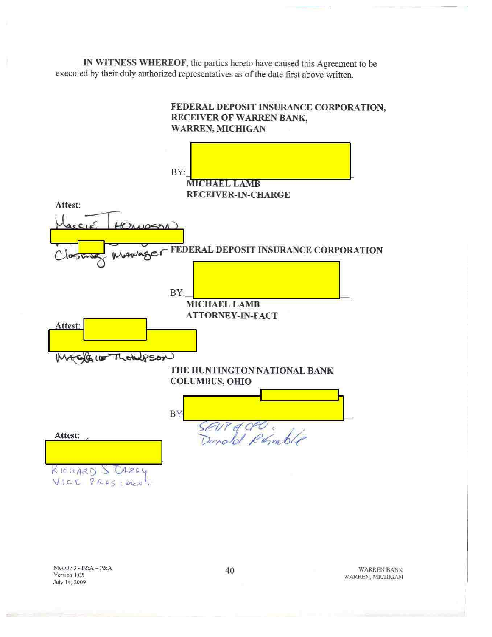IN WITNESS WHEREOF, the parties hereto have caused this Agreement to be executed by their duly authorized representatives as of the date first above written.



July 14, 2009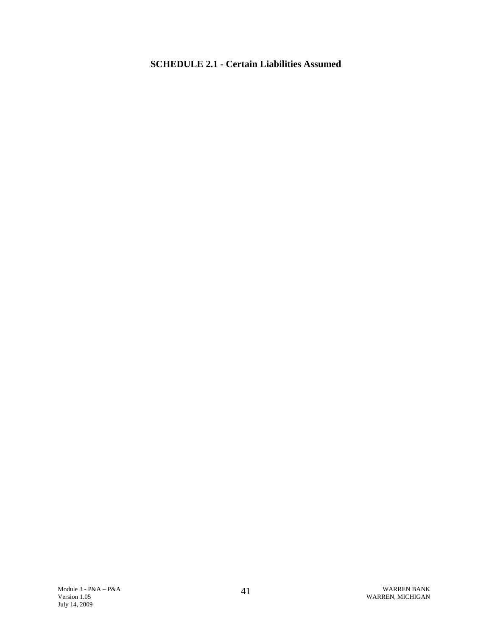**SCHEDULE 2.1 - Certain Liabilities Assumed**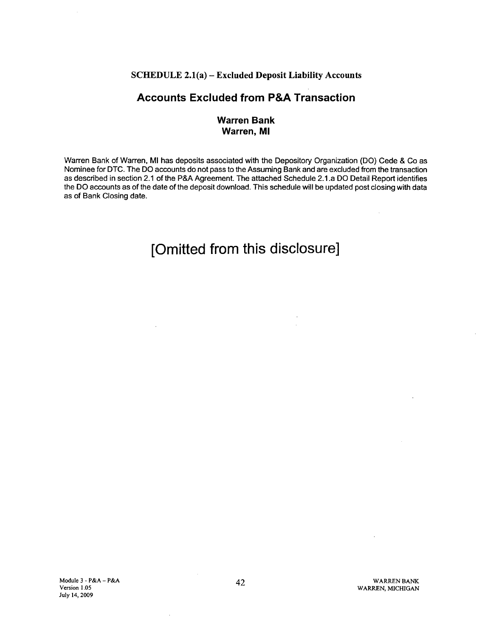SCHEDULE 2.1(a) - Excluded Deposit Liabilty Accounts

## Accounts Excluded from P&A Transaction

#### Warren Bank Warren, MI

Warren Bank of Warren, MI has deposits associated with the Depository Organization (DO) Cede & Co as Nominee for DTC. The DO accounts do not pass to the Assuming Bank and are excluded from the transaction as described in section 2.1 of the P&A Agreement. The attached Schedule 2.1.a DO Detail Report identifies the DO accounts as of the date of the deposit download. This schedule will be updated post closing with data as of Bank Closing date.

(Omitted from this disclosure)

 $\mathcal{A}$ 

 $\sim$ 

 $\hat{\mathcal{L}}$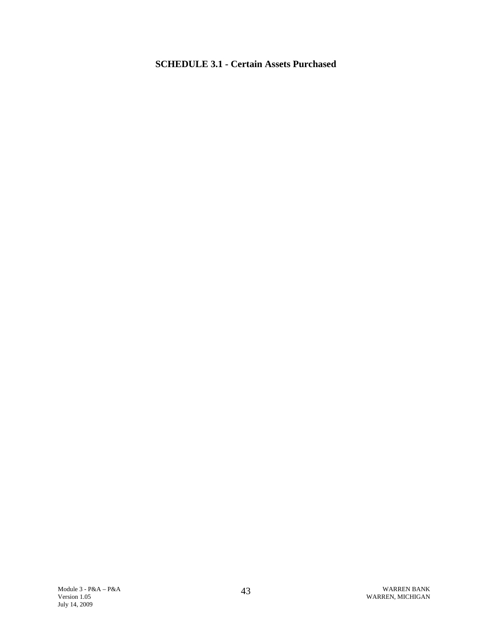**SCHEDULE 3.1 - Certain Assets Purchased**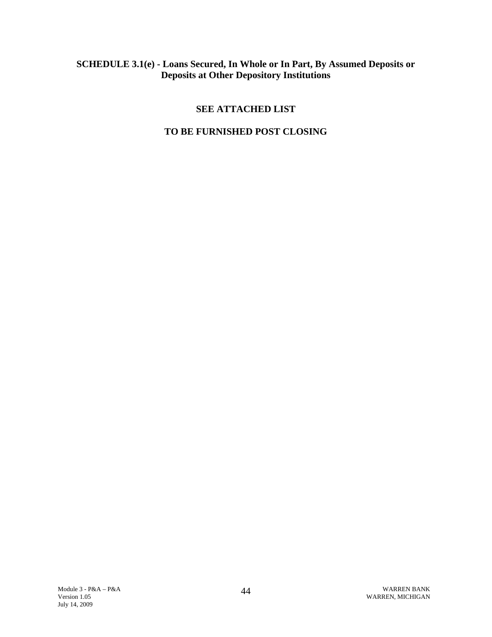### **SCHEDULE 3.1(e) - Loans Secured, In Whole or In Part, By Assumed Deposits or Deposits at Other Depository Institutions**

## **SEE ATTACHED LIST**

## **TO BE FURNISHED POST CLOSING**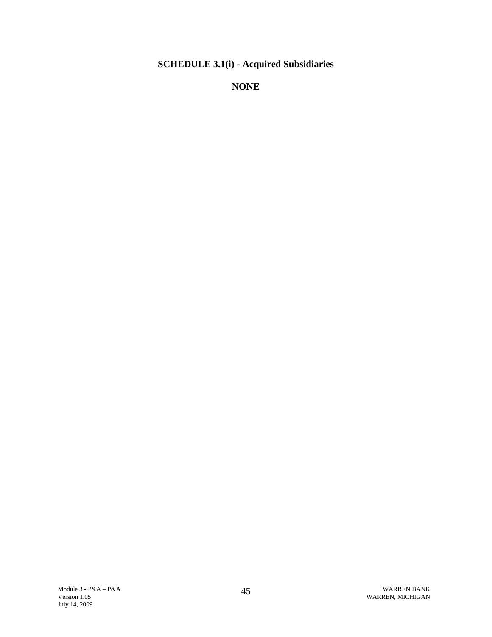**SCHEDULE 3.1(i) - Acquired Subsidiaries** 

**NONE**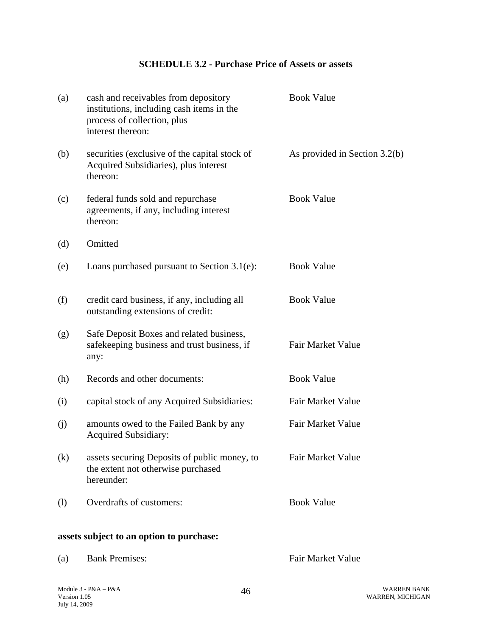## **SCHEDULE 3.2 - Purchase Price of Assets or assets**

| (a)                                      | cash and receivables from depository<br>institutions, including cash items in the<br>process of collection, plus<br>interest thereon: | <b>Book Value</b>               |  |
|------------------------------------------|---------------------------------------------------------------------------------------------------------------------------------------|---------------------------------|--|
| (b)                                      | securities (exclusive of the capital stock of<br>Acquired Subsidiaries), plus interest<br>thereon:                                    | As provided in Section $3.2(b)$ |  |
| (c)                                      | federal funds sold and repurchase<br>agreements, if any, including interest<br>thereon:                                               | <b>Book Value</b>               |  |
| (d)                                      | Omitted                                                                                                                               |                                 |  |
| (e)                                      | Loans purchased pursuant to Section $3.1(e)$ :                                                                                        | <b>Book Value</b>               |  |
| (f)                                      | credit card business, if any, including all<br>outstanding extensions of credit:                                                      | <b>Book Value</b>               |  |
| (g)                                      | Safe Deposit Boxes and related business,<br>safekeeping business and trust business, if<br>any:                                       | Fair Market Value               |  |
| (h)                                      | Records and other documents:                                                                                                          | <b>Book Value</b>               |  |
| (i)                                      | capital stock of any Acquired Subsidiaries:                                                                                           | <b>Fair Market Value</b>        |  |
| (j)                                      | amounts owed to the Failed Bank by any<br><b>Acquired Subsidiary:</b>                                                                 | Fair Market Value               |  |
| (k)                                      | assets securing Deposits of public money, to<br>the extent not otherwise purchased<br>hereunder:                                      | Fair Market Value               |  |
| (1)                                      | Overdrafts of customers:                                                                                                              | <b>Book Value</b>               |  |
| assets subject to an option to purchase: |                                                                                                                                       |                                 |  |
| (a)                                      | <b>Bank Premises:</b>                                                                                                                 | Fair Market Value               |  |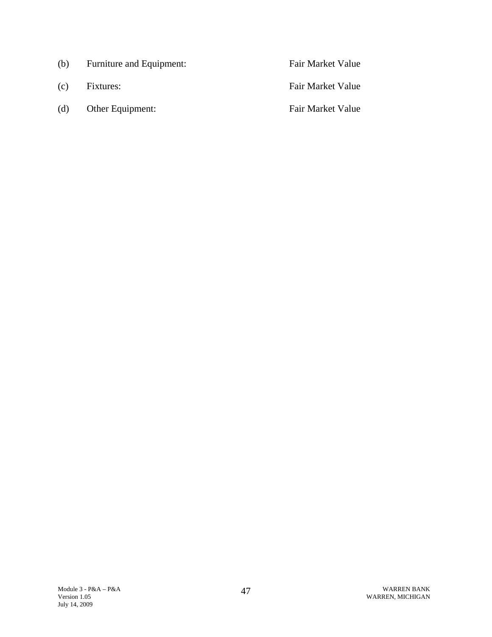- (b) Furniture and Equipment: Fair Market Value
- 
- (d) Other Equipment: Fair Market Value

(c) Fixtures: Fair Market Value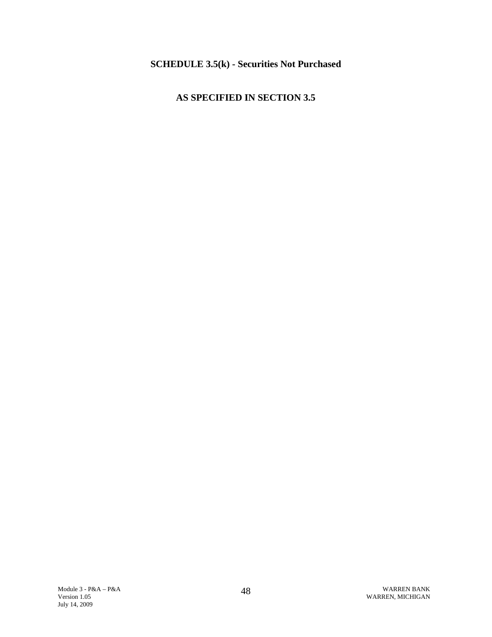## **SCHEDULE 3.5(k) - Securities Not Purchased**

## **AS SPECIFIED IN SECTION 3.5**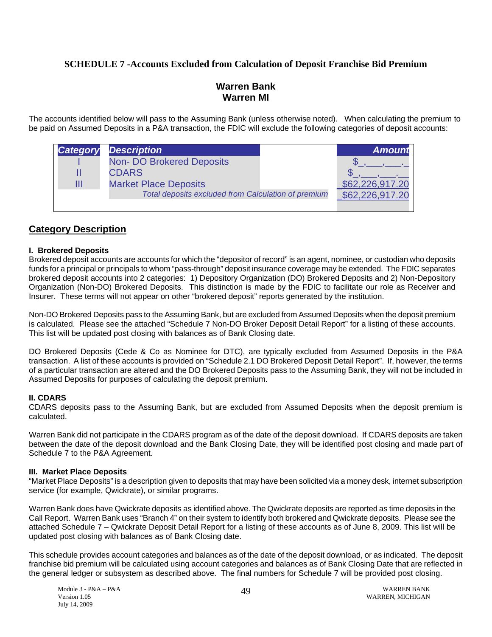### **SCHEDULE 7 -Accounts Excluded from Calculation of Deposit Franchise Bid Premium**

### **Warren Bank Warren MI**

The accounts identified below will pass to the Assuming Bank (unless otherwise noted). When calculating the premium to be paid on Assumed Deposits in a P&A transaction, the FDIC will exclude the following categories of deposit accounts:

| <b>Category</b> | <b>Description</b>                                  | <b>Amount</b>   |
|-----------------|-----------------------------------------------------|-----------------|
|                 | <b>Non-DO Brokered Deposits</b>                     |                 |
|                 | <b>CDARS</b>                                        |                 |
| Ш               | <b>Market Place Deposits</b>                        | \$62,226,917.20 |
|                 | Total deposits excluded from Calculation of premium | \$62,226,917,20 |
|                 |                                                     |                 |

### **Category Description**

#### **I. Brokered Deposits**

Brokered deposit accounts are accounts for which the "depositor of record" is an agent, nominee, or custodian who deposits funds for a principal or principals to whom "pass-through" deposit insurance coverage may be extended. The FDIC separates brokered deposit accounts into 2 categories: 1) Depository Organization (DO) Brokered Deposits and 2) Non-Depository Organization (Non-DO) Brokered Deposits. This distinction is made by the FDIC to facilitate our role as Receiver and Insurer. These terms will not appear on other "brokered deposit" reports generated by the institution.

Non-DO Brokered Deposits pass to the Assuming Bank, but are excluded from Assumed Deposits when the deposit premium is calculated. Please see the attached "Schedule 7 Non-DO Broker Deposit Detail Report" for a listing of these accounts. This list will be updated post closing with balances as of Bank Closing date.

DO Brokered Deposits (Cede & Co as Nominee for DTC), are typically excluded from Assumed Deposits in the P&A transaction. A list of these accounts is provided on "Schedule 2.1 DO Brokered Deposit Detail Report". If, however, the terms of a particular transaction are altered and the DO Brokered Deposits pass to the Assuming Bank, they will not be included in Assumed Deposits for purposes of calculating the deposit premium.

#### **II. CDARS**

CDARS deposits pass to the Assuming Bank, but are excluded from Assumed Deposits when the deposit premium is calculated.

Warren Bank did not participate in the CDARS program as of the date of the deposit download. If CDARS deposits are taken between the date of the deposit download and the Bank Closing Date, they will be identified post closing and made part of Schedule 7 to the P&A Agreement.

#### **III. Market Place Deposits**

"Market Place Deposits" is a description given to deposits that may have been solicited via a money desk, internet subscription service (for example, Qwickrate), or similar programs.

Warren Bank does have Qwickrate deposits as identified above. The Qwickrate deposits are reported as time deposits in the Call Report. Warren Bank uses "Branch 4" on their system to identify both brokered and Qwickrate deposits. Please see the attached Schedule 7 – Qwickrate Deposit Detail Report for a listing of these accounts as of June 8, 2009. This list will be updated post closing with balances as of Bank Closing date.

This schedule provides account categories and balances as of the date of the deposit download, or as indicated. The deposit franchise bid premium will be calculated using account categories and balances as of Bank Closing Date that are reflected in the general ledger or subsystem as described above. The final numbers for Schedule 7 will be provided post closing.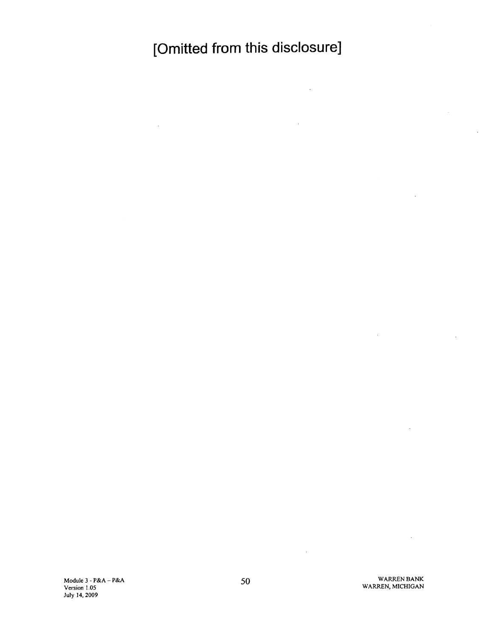$\sim$ 

 $\ddot{\phantom{0}}$ 

 $\ddot{\phantom{a}}$ 

 $\mathcal{L}_{\mathcal{L}}$ 

 $\ddot{\phantom{a}}$ 

 $\ddot{\phantom{0}}$ 

 $\bar{\mathcal{A}}$ 

 $\sim 10$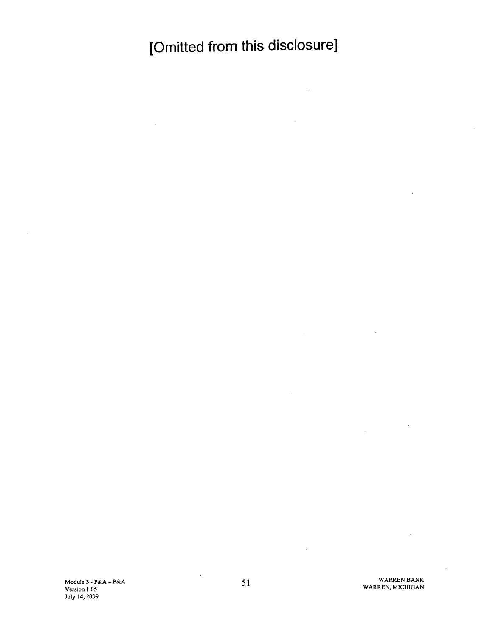$\mathcal{L}^{\mathcal{L}}$ 

 $\ddot{\phantom{a}}$ 

 $\ddot{\phantom{0}}$ 

 $\mathbf{r}$ 

 $\bar{z}$ 

 $\bar{z}$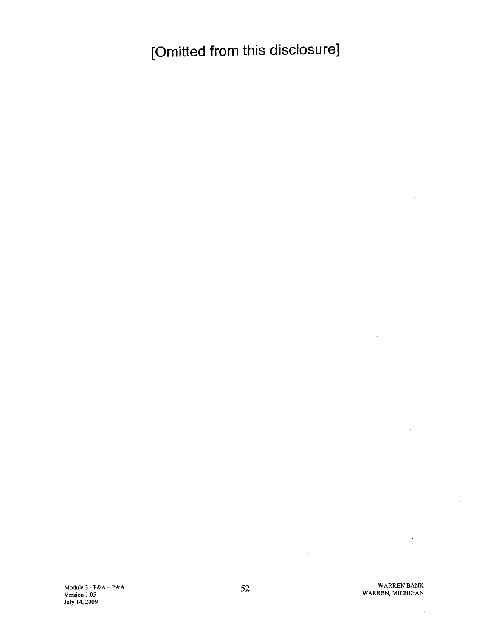$\mathcal{L}(\mathcal{A})$  and  $\mathcal{L}(\mathcal{A})$ 

 $\bar{z}$ 

 $\sim 10^{-11}$ 

 $\bar{\mathcal{A}}$ 

 $\sim$ 

 $\bar{z}$ 

 $\sim$ 

 $\sim$ 

 $\sim$ 

 $\sim 10^{11}$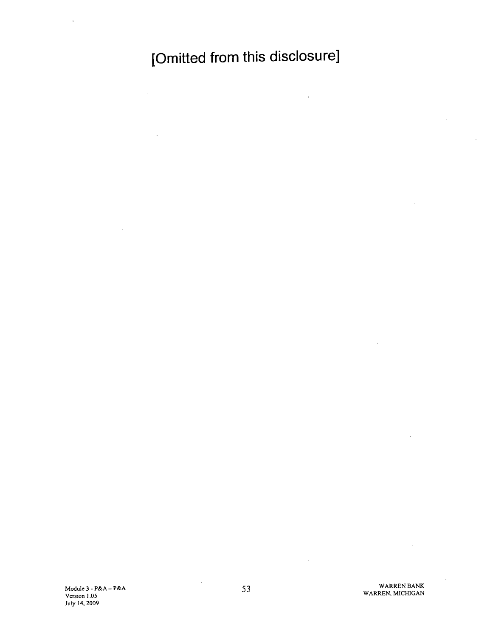$\ddot{\phantom{a}}$ 

 $\ddot{\phantom{a}}$ 

 $\bar{z}$ 

 $\bar{z}$ 

 $\ddot{\phantom{a}}$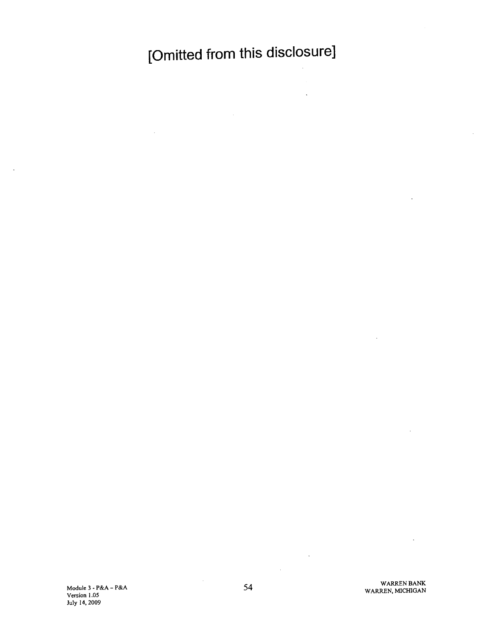$\bar{z}$ 

 $\ddot{\phantom{a}}$ 

 $\ddot{\phantom{a}}$ 

 $\ddot{\phantom{a}}$ 

 $\label{eq:2} \frac{1}{\sqrt{2}}\left(\frac{1}{\sqrt{2}}\right)^{2} \left(\frac{1}{\sqrt{2}}\right)^{2}$ 

 $\sim 10^{-1}$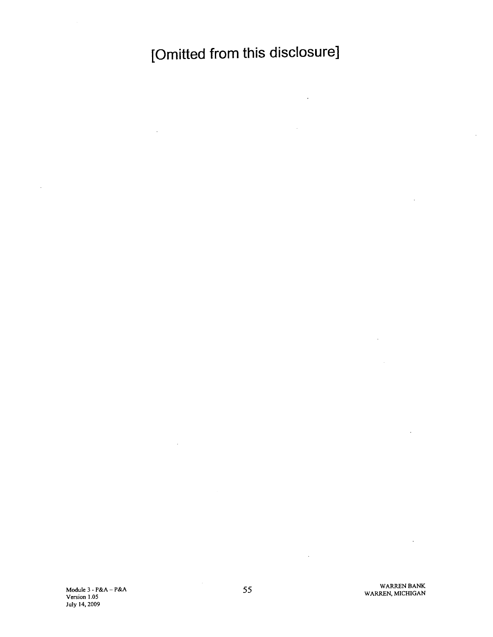$\bar{z}$ 

 $\bar{z}$ 

 $\bar{\mathcal{A}}$ 

 $\ddot{\phantom{0}}$ 

 $\mathcal{A}$ 

 $\cdot$ 

 $\ddot{\phantom{a}}$ 

 $\ddot{\phantom{a}}$ 

 $\mathcal{L}$ 

 $\sim 10^7$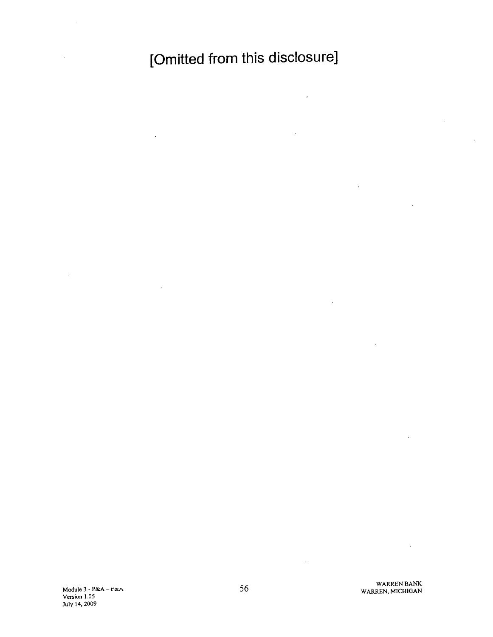$\bar{\mathcal{A}}$ 

 $\lambda$ 

 $\overline{a}$ 

 $\mathcal{L}$ 

 $\ddot{\phantom{a}}$ 

 $\bar{z}$ 

 $\bar{\beta}$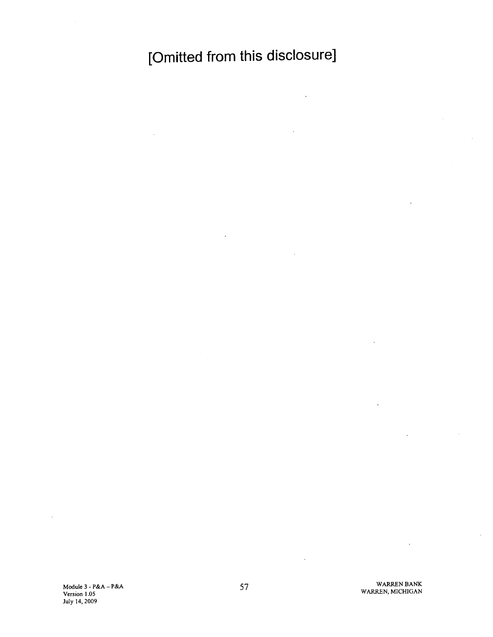$\ddot{\phantom{a}}$ 

 $\sim$ 

 $\sim$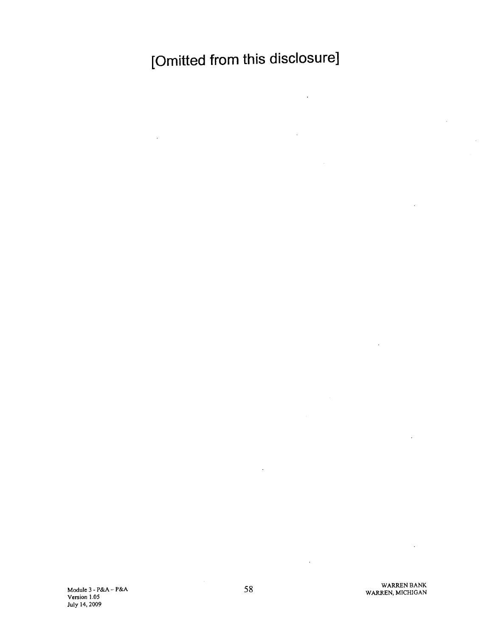$\ddot{\phantom{0}}$ 

 $\overline{\phantom{a}}$ 

 $\ddot{\phantom{a}}$ 

 $\bar{\mathcal{A}}$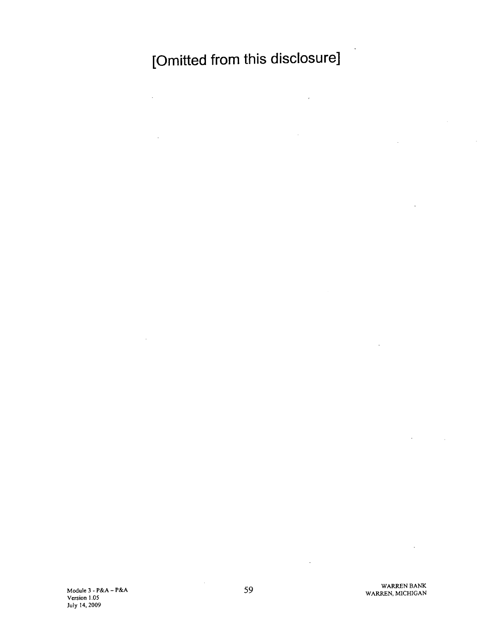$\epsilon$ 

 $\bar{\alpha}$ 

 $\mathcal{L}^{\text{max}}$ 

 $\sim$ 

 $\sim$   $\sim$ 

V.

 $\mathbb{R}^2$ 

 $\ddot{\phantom{a}}$ 

 $\bar{z}$ 

 $\bar{z}$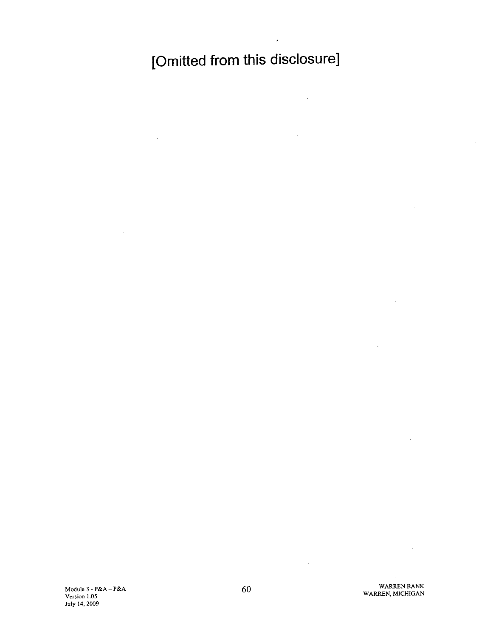$\bar{\beta}$ 

 $\sim$   $\sim$ 

 $\overline{\phantom{a}}$ 

 $\hat{\mathcal{L}}$ 

 $\bar{\mathcal{A}}$ 

 $\mathcal{A}$ 

 $\ddot{\phantom{a}}$ 

 $\ddot{\phantom{a}}$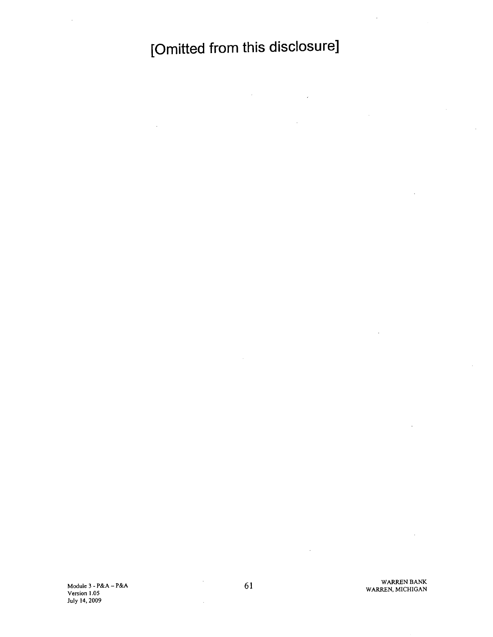$\mathcal{A}$ 

 $\bar{z}$ 

 $\mathbb{R}^2$ 

 $\ddot{\phantom{a}}$ 

 $\bar{\gamma}$ 

 $\overline{\phantom{a}}$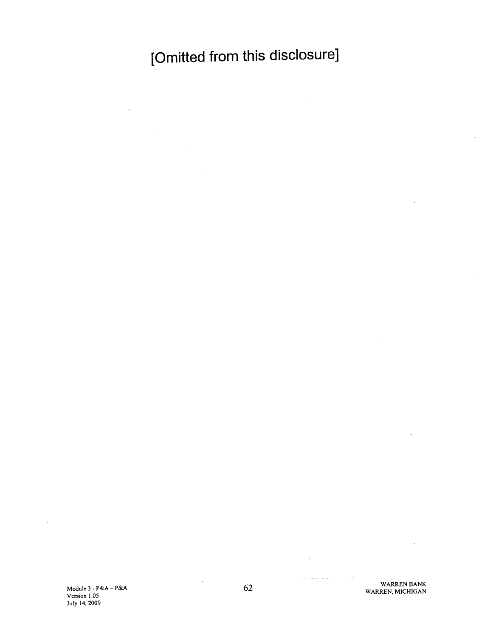والمساويدة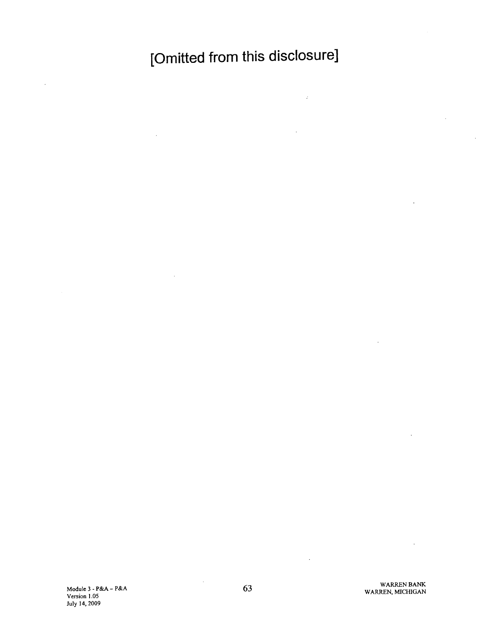$\mathcal{L}$ 

 $\hat{\mathcal{L}}$ 

 $\bar{z}$ 

 $\bar{z}$ 

 $\sim$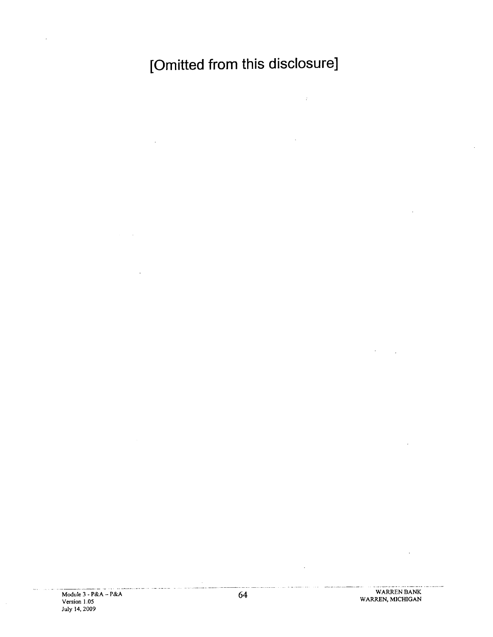$\hat{I}$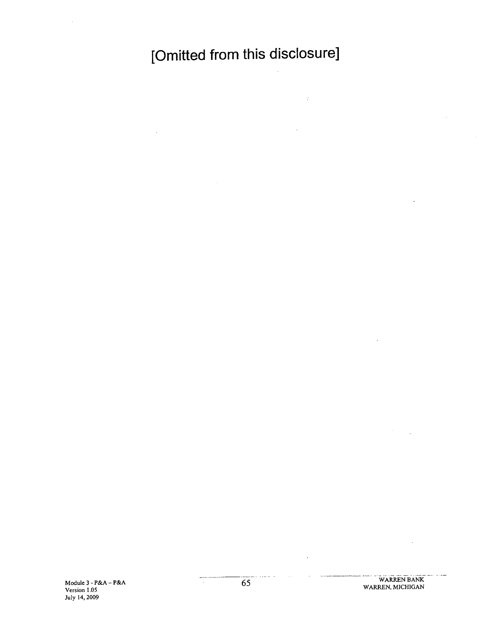$\frac{1}{2}$ 

.<br>مسند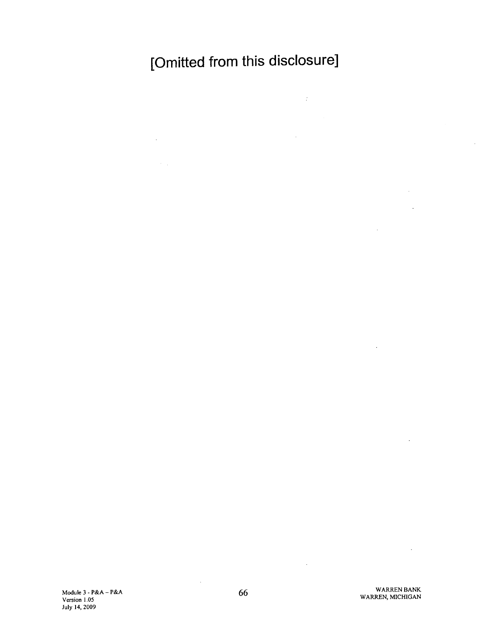$\bar{z}$ 

 $\mathcal{A}=\mathcal{A}$ 

 $\hat{\mathcal{L}}$ 

 $\bar{z}$ 

 $\overline{\phantom{a}}$ 

 $\bar{z}$ 

 $\sim$ 

 $\bar{z}$ 

 $\bar{a}$ 

 $\bar{z}$ 

 $\sim$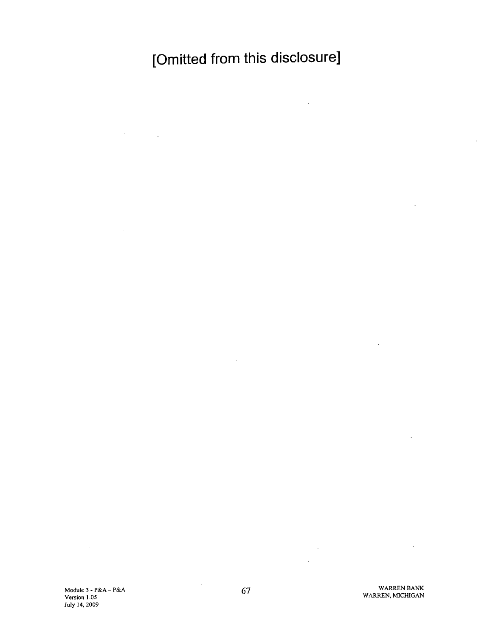$\label{eq:2.1} \frac{1}{\sqrt{2}}\int_{\mathbb{R}^3}\frac{1}{\sqrt{2}}\left(\frac{1}{\sqrt{2}}\right)^2\left(\frac{1}{\sqrt{2}}\right)^2\left(\frac{1}{\sqrt{2}}\right)^2\left(\frac{1}{\sqrt{2}}\right)^2.$ 

 $\mathcal{L}$ 

 $\bar{z}$ 

 $\ddot{\phantom{a}}$ 

 $\ddot{\phantom{a}}$ 

 $\bar{\mathcal{A}}$ 

 $\label{eq:2.1} \frac{d\mu}{d\mu} = \frac{1}{2\pi}\sum_{i=1}^n \frac{d\mu}{d\mu} \frac{d\mu}{d\mu} \frac{d\mu}{d\mu} \frac{d\mu}{d\mu} \frac{d\mu}{d\mu} \frac{d\mu}{d\mu} \frac{d\mu}{d\mu} \frac{d\mu}{d\mu} \frac{d\mu}{d\mu} \frac{d\mu}{d\mu} \frac{d\mu}{d\mu} \frac{d\mu}{d\mu} \frac{d\mu}{d\mu} \frac{d\mu}{d\mu} \frac{d\mu}{d\mu} \frac{d\mu}{d\mu} \frac{d\mu$ 

 $\mathbb{I}$ 

 $\mathcal{A}_\mathrm{c}$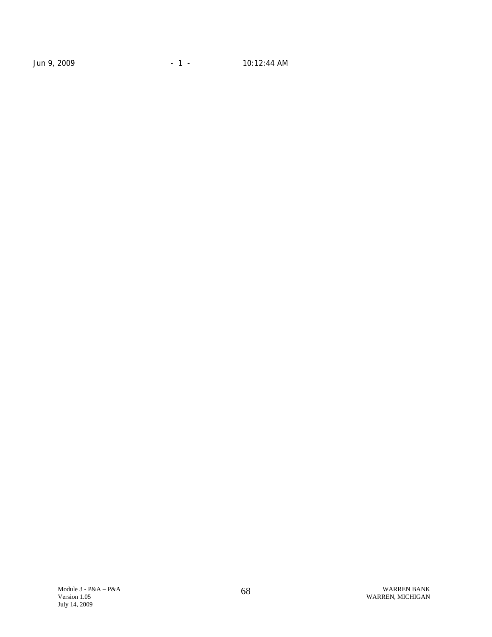$-1 -$ Jun 9, 2009 - 1 - 1 - 10:12:44 AM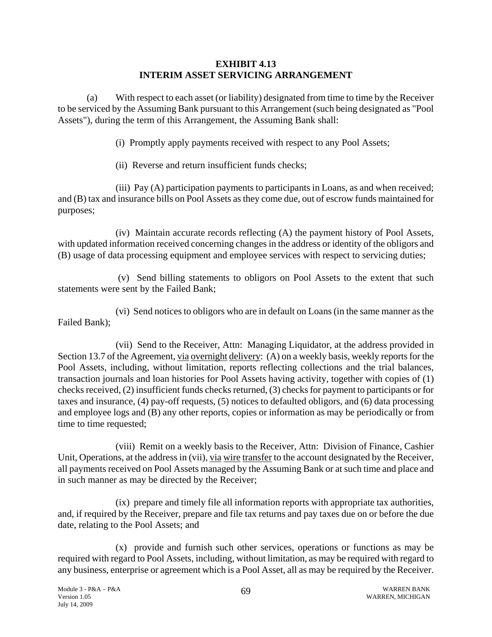## **EXHIBIT 4.13 INTERIM ASSET SERVICING ARRANGEMENT**

(a) With respect to each asset (or liability) designated from time to time by the Receiver to be serviced by the Assuming Bank pursuant to this Arrangement (such being designated as "Pool Assets"), during the term of this Arrangement, the Assuming Bank shall:

(i) Promptly apply payments received with respect to any Pool Assets;

(ii) Reverse and return insufficient funds checks;

(iii) Pay (A) participation payments to participants in Loans, as and when received; and (B) tax and insurance bills on Pool Assets as they come due, out of escrow funds maintained for purposes;

(iv) Maintain accurate records reflecting (A) the payment history of Pool Assets, with updated information received concerning changes in the address or identity of the obligors and (B) usage of data processing equipment and employee services with respect to servicing duties;

(v) Send billing statements to obligors on Pool Assets to the extent that such statements were sent by the Failed Bank;

(vi) Send notices to obligors who are in default on Loans (in the same manner as the Failed Bank);

(vii) Send to the Receiver, Attn: Managing Liquidator, at the address provided in Section 13.7 of the Agreement, via overnight delivery: (A) on a weekly basis, weekly reports for the Pool Assets, including, without limitation, reports reflecting collections and the trial balances, transaction journals and loan histories for Pool Assets having activity, together with copies of (1) checks received, (2) insufficient funds checks returned, (3) checks for payment to participants or for taxes and insurance, (4) pay-off requests, (5) notices to defaulted obligors, and (6) data processing and employee logs and (B) any other reports, copies or information as may be periodically or from time to time requested;

(viii) Remit on a weekly basis to the Receiver, Attn: Division of Finance, Cashier Unit, Operations, at the address in (vii), via wire transfer to the account designated by the Receiver, all payments received on Pool Assets managed by the Assuming Bank or at such time and place and in such manner as may be directed by the Receiver;

(ix) prepare and timely file all information reports with appropriate tax authorities, and, if required by the Receiver, prepare and file tax returns and pay taxes due on or before the due date, relating to the Pool Assets; and

(x) provide and furnish such other services, operations or functions as may be required with regard to Pool Assets, including, without limitation, as may be required with regard to any business, enterprise or agreement which is a Pool Asset, all as may be required by the Receiver.